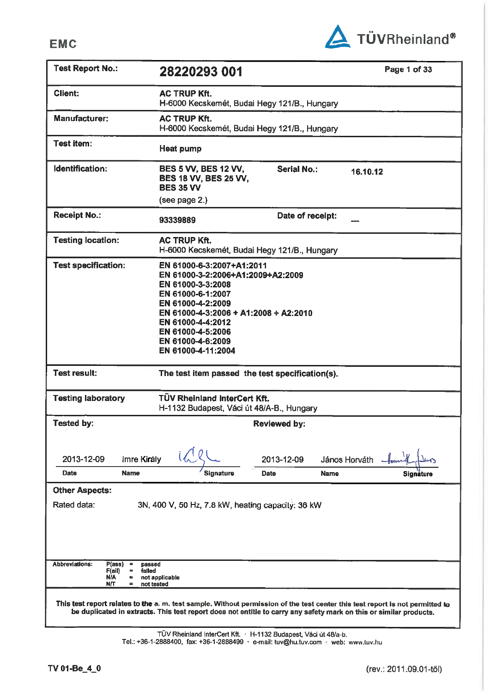**EMC** 



| <b>Test Report No.:</b>                                                                                                      | 28220293 001                                                                                                                                                                                                                                                |                     |               | Page 1 of 33 |
|------------------------------------------------------------------------------------------------------------------------------|-------------------------------------------------------------------------------------------------------------------------------------------------------------------------------------------------------------------------------------------------------------|---------------------|---------------|--------------|
| <b>Client:</b>                                                                                                               | <b>AC TRUP Kft.</b><br>H-6000 Kecskemét, Budai Hegy 121/B., Hungary                                                                                                                                                                                         |                     |               |              |
| <b>Manufacturer:</b>                                                                                                         | <b>AC TRUP Kft.</b><br>H-6000 Kecskemét, Budai Hegy 121/B., Hungary                                                                                                                                                                                         |                     |               |              |
| Test item:                                                                                                                   | <b>Heat pump</b>                                                                                                                                                                                                                                            |                     |               |              |
| Identification:                                                                                                              | <b>BES 5 VV, BES 12 VV,</b><br><b>BES 18 VV, BES 25 VV,</b><br><b>BES 35 VV</b>                                                                                                                                                                             | <b>Serial No.:</b>  | 16.10.12      |              |
|                                                                                                                              | (see page 2.)                                                                                                                                                                                                                                               |                     |               |              |
| <b>Receipt No.:</b>                                                                                                          | 93339889                                                                                                                                                                                                                                                    | Date of receipt:    |               |              |
| <b>Testing location:</b>                                                                                                     | <b>AC TRUP Kft.</b><br>H-6000 Kecskemét, Budai Hegy 121/B., Hungary                                                                                                                                                                                         |                     |               |              |
| <b>Test specification:</b>                                                                                                   | EN 61000-6-3:2007+A1:2011<br>EN 61000-3-2:2006+A1:2009+A2:2009<br>EN 61000-3-3:2008<br>EN 61000-6-1:2007<br>EN 61000-4-2:2009<br>EN 61000-4-3:2006 + A1:2008 + A2:2010<br>EN 61000-4-4:2012<br>EN 61000-4-5:2006<br>EN 61000-4-6:2009<br>EN 61000-4-11:2004 |                     |               |              |
| <b>Test result:</b>                                                                                                          | The test item passed the test specification(s).                                                                                                                                                                                                             |                     |               |              |
| <b>Testing laboratory</b>                                                                                                    | <b>TÜV Rheinland InterCert Kft.</b><br>H-1132 Budapest, Váci út 48/A-B., Hungary                                                                                                                                                                            |                     |               |              |
| <b>Tested by:</b>                                                                                                            |                                                                                                                                                                                                                                                             | <b>Reviewed by:</b> |               |              |
| Imre Király<br>2013-12-09                                                                                                    |                                                                                                                                                                                                                                                             | 2013-12-09          | János Horváth |              |
| Date<br>Name                                                                                                                 | Signature                                                                                                                                                                                                                                                   | <b>Date</b>         | <b>Name</b>   | Signăture    |
| <b>Other Aspects:</b><br>Rated data:                                                                                         | 3N, 400 V, 50 Hz, 7.8 kW, heating capacity: 36 kW                                                                                                                                                                                                           |                     |               |              |
| Abbreviations:<br>P(ass)<br>passed<br>$\equiv$<br>F(ai)<br>falled<br>$\equiv$<br><b>N/A</b><br>٠<br>N/T<br>=                 | not applicable<br>not tested                                                                                                                                                                                                                                |                     |               |              |
| This test report relates to the a.m. test sample. Without permission of the test center this test report is not permitted to | be duplicated in extracts. This test report does not entitle to carry any safety mark on this or similar products.                                                                                                                                          |                     |               |              |

TÜV Rheinland InterCert Kft. · H-1132 Budapest, Váci út 48/a-b.<br>Tel.: +36-1-2888400, fax: +36-1-2888499 · e-mail: tuv@hu.tuv.com · web: www.tuv.hu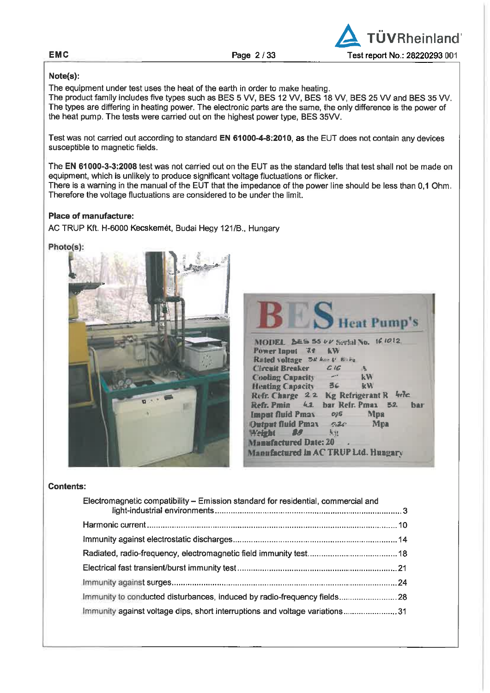Page 2/33



## Note(s):

The equipment under test uses the heat of the earth in order to make heating.

The product family includes five types such as BES 5 VV, BES 12 VV, BES 18 VV, BES 25 VV and BES 35 VV. The types are differing in heating power. The electronic parts are the same, the only difference is the power of the heat pump. The tests were carried out on the highest power type, BES 35VV.

Test was not carried out according to standard EN 61000-4-8:2010, as the EUT does not contain any devices susceptible to magnetic fields.

The EN 61000-3-3:2008 test was not carried out on the EUT as the standard tells that test shall not be made on equipment, which is unlikely to produce significant voltage fluctuations or flicker. There is a warning in the manual of the EUT that the impedance of the power line should be less than 0.1 Ohm. Therefore the voltage fluctuations are considered to be under the limit.

# Place of manufacture:

AC TRUP Kft. H-6000 Kecskemét, Budai Hegy 121/B., Hungary

### Photo(s):



|                                      |            | Heat Pump's               |
|--------------------------------------|------------|---------------------------|
| MODEL 255 55 UV Serial No. 16 1012   |            |                           |
| Power Input <b>32 KW</b>             |            |                           |
| Rated voltage 5# kas to bare         |            |                           |
| <b>Chronit Breaker</b>               | CIG        | A                         |
| <b>Cooling Capacity</b>              |            | $k$ <b>W</b>              |
| Heating Capacity 36                  |            | kW                        |
| Refr. Charge 22                      |            | Kg Refrigerant R hele     |
| Refr. Pmin 4.2                       |            | bar Refr. Pmax 52.<br>har |
| Imput fluid Pmax                     | 015        | Mpa                       |
| <b>Dutput fluid Pmax</b> 620         |            | <b>Mpa</b>                |
| Weight <b>88</b>                     | <b>Age</b> |                           |
| <b>Manufactured Date: 20</b>         |            |                           |
| Manufactured in AC TRUP Ltd. Hungary |            |                           |

## **Contents:**

| Electromagnetic compatibility - Emission standard for residential, commercial and |  |
|-----------------------------------------------------------------------------------|--|
|                                                                                   |  |
|                                                                                   |  |
|                                                                                   |  |
|                                                                                   |  |
|                                                                                   |  |
| Immunity to conducted disturbances, induced by radio-frequency fields 28          |  |
| Immunity against voltage dips, short interruptions and voltage variations31       |  |

### EMC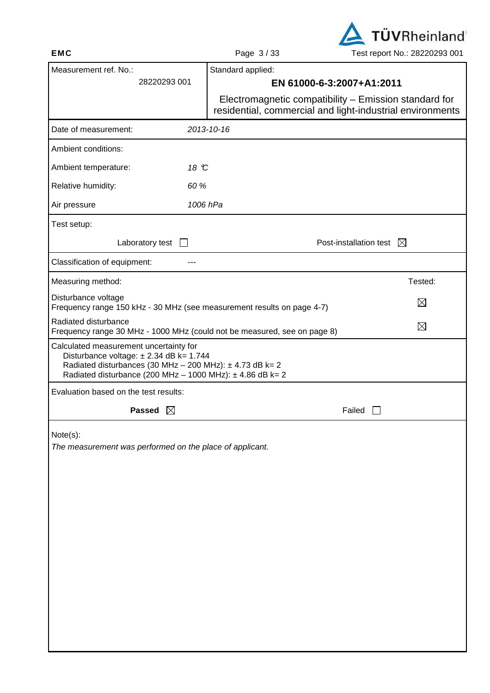

|                                                                                                                                               |                              | raye J/JJ                                                                                                          | <b>I GOLTOPULLINU ZUZZUZUJ UUT</b> |
|-----------------------------------------------------------------------------------------------------------------------------------------------|------------------------------|--------------------------------------------------------------------------------------------------------------------|------------------------------------|
| Measurement ref. No.:                                                                                                                         |                              | Standard applied:                                                                                                  |                                    |
|                                                                                                                                               | 28220293 001                 | EN 61000-6-3:2007+A1:2011                                                                                          |                                    |
|                                                                                                                                               |                              | Electromagnetic compatibility – Emission standard for<br>residential, commercial and light-industrial environments |                                    |
| Date of measurement:                                                                                                                          |                              | 2013-10-16                                                                                                         |                                    |
| Ambient conditions:                                                                                                                           |                              |                                                                                                                    |                                    |
| Ambient temperature:                                                                                                                          | 18 °C                        |                                                                                                                    |                                    |
| Relative humidity:                                                                                                                            | 60 %                         |                                                                                                                    |                                    |
| Air pressure                                                                                                                                  | 1006 hPa                     |                                                                                                                    |                                    |
| Test setup:                                                                                                                                   |                              |                                                                                                                    |                                    |
|                                                                                                                                               | Laboratory test $\Box$       |                                                                                                                    | Post-installation test $\boxtimes$ |
| Classification of equipment:                                                                                                                  |                              |                                                                                                                    |                                    |
| Measuring method:                                                                                                                             |                              |                                                                                                                    | Tested:                            |
| Disturbance voltage                                                                                                                           |                              | Frequency range 150 kHz - 30 MHz (see measurement results on page 4-7)                                             | $\boxtimes$                        |
| Radiated disturbance                                                                                                                          |                              | Frequency range 30 MHz - 1000 MHz (could not be measured, see on page 8)                                           | $\boxtimes$                        |
| Calculated measurement uncertainty for<br>Disturbance voltage: ± 2.34 dB k= 1.744<br>Radiated disturbances (30 MHz - 200 MHz): ± 4.73 dB k= 2 |                              | Radiated disturbance (200 MHz - 1000 MHz): $\pm$ 4.86 dB k= 2                                                      |                                    |
| Evaluation based on the test results:                                                                                                         |                              |                                                                                                                    |                                    |
|                                                                                                                                               | <b>Passed</b><br>$\boxtimes$ |                                                                                                                    | Failed                             |
| Note(s):<br>The measurement was performed on the place of applicant.                                                                          |                              |                                                                                                                    |                                    |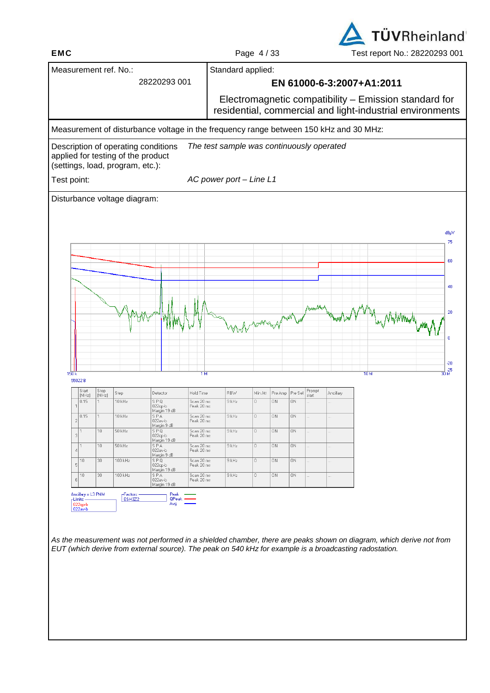**EMC** Page 4/33 Test report No.: 28220293 001

**TÜVRheinland** 

| 28220293 001<br>EN 61000-6-3:2007+A1:2011<br>The test sample was continuously operated<br>AC power port - Line L1<br>AsimalAr<br>wongshine<br>. NyWM <sub>M</sub> N<br>$\bf{0}$<br>1M<br>10M<br>150k<br>55022B<br>Stop<br>Prompt<br>Start<br>Step<br>Detector<br>Hold Time<br><b>RBW</b><br>Min Att<br>Pre Amp<br>Pre Sel<br>Ancillary<br>[MHz]<br>[MHz]<br>start<br>0.15<br>10 kHz<br>9 kHz<br>SPQ<br>Scan 20 ms<br>$\overline{0}$<br>0N<br>0N<br>$022qp-b$<br>Peak 20 ms<br>Margin 19 dB<br>10 kHz<br>0.15<br><b>SPA</b><br>Scan 20 ms<br>9 kHz<br>0<br>0N<br>0N<br>022av-b<br>Peak 20 ms<br>Margin 9 dB<br>10<br>50 kHz<br>S P Q<br>Scan 20 ms<br>9 kHz<br>0<br>ON<br>ΟN<br>3 <sup>1</sup><br>022qp-b<br>Peak 20 ms<br>Margin 19 dB<br>10<br>50 kHz<br>SPA<br>9 kHz<br>$\begin{array}{c} \square \end{array}$<br>ON.<br>ON<br>Scan 20 ms<br>1<br>$\vert$ 4<br>022av-b<br>Peak 20 ms<br>Margin 9 dB<br>100 kHz<br>30<br>SPQ<br>9 kHz<br>$\begin{array}{c} \square \end{array}$<br>0N<br>ON<br>10<br>Scan 20 ms<br>5 <sub>l</sub><br>$022qp-b$<br>Peak 20 ms<br>Margin 19 dB<br>100 kHz<br>10<br>30<br>S P A<br>9 kHz<br>$\overline{0}$<br>0N<br>ON<br>Scan 20 ms<br>022av-b<br>Peak 20 ms<br>6<br>Margin 19 dB<br>Ancillary = L3 PMM<br>Peak<br>-Factors: -<br>ESH3Z2<br><b>QPeak</b><br>-Limits:-<br>Avg | Electromagnetic compatibility – Emission standard for<br>residential, commercial and light-industrial environments<br>Measurement of disturbance voltage in the frequency range between 150 kHz and 30 MHz:<br>Description of operating conditions<br>applied for testing of the product<br>(settings, load, program, etc.):<br>Test point:<br>Disturbance voltage diagram:<br>dBµV<br>$-20$<br>님,25<br>30 M<br>022qp-b<br>022av-b |  | Measurement ref. No.: |  | Standard applied: |  |  |  |  |  |    |
|-------------------------------------------------------------------------------------------------------------------------------------------------------------------------------------------------------------------------------------------------------------------------------------------------------------------------------------------------------------------------------------------------------------------------------------------------------------------------------------------------------------------------------------------------------------------------------------------------------------------------------------------------------------------------------------------------------------------------------------------------------------------------------------------------------------------------------------------------------------------------------------------------------------------------------------------------------------------------------------------------------------------------------------------------------------------------------------------------------------------------------------------------------------------------------------------------------------------------------------------------------------------------------------------------------------|------------------------------------------------------------------------------------------------------------------------------------------------------------------------------------------------------------------------------------------------------------------------------------------------------------------------------------------------------------------------------------------------------------------------------------|--|-----------------------|--|-------------------|--|--|--|--|--|----|
|                                                                                                                                                                                                                                                                                                                                                                                                                                                                                                                                                                                                                                                                                                                                                                                                                                                                                                                                                                                                                                                                                                                                                                                                                                                                                                             |                                                                                                                                                                                                                                                                                                                                                                                                                                    |  |                       |  |                   |  |  |  |  |  |    |
|                                                                                                                                                                                                                                                                                                                                                                                                                                                                                                                                                                                                                                                                                                                                                                                                                                                                                                                                                                                                                                                                                                                                                                                                                                                                                                             |                                                                                                                                                                                                                                                                                                                                                                                                                                    |  |                       |  |                   |  |  |  |  |  |    |
|                                                                                                                                                                                                                                                                                                                                                                                                                                                                                                                                                                                                                                                                                                                                                                                                                                                                                                                                                                                                                                                                                                                                                                                                                                                                                                             |                                                                                                                                                                                                                                                                                                                                                                                                                                    |  |                       |  |                   |  |  |  |  |  |    |
|                                                                                                                                                                                                                                                                                                                                                                                                                                                                                                                                                                                                                                                                                                                                                                                                                                                                                                                                                                                                                                                                                                                                                                                                                                                                                                             |                                                                                                                                                                                                                                                                                                                                                                                                                                    |  |                       |  |                   |  |  |  |  |  |    |
|                                                                                                                                                                                                                                                                                                                                                                                                                                                                                                                                                                                                                                                                                                                                                                                                                                                                                                                                                                                                                                                                                                                                                                                                                                                                                                             |                                                                                                                                                                                                                                                                                                                                                                                                                                    |  |                       |  |                   |  |  |  |  |  |    |
|                                                                                                                                                                                                                                                                                                                                                                                                                                                                                                                                                                                                                                                                                                                                                                                                                                                                                                                                                                                                                                                                                                                                                                                                                                                                                                             |                                                                                                                                                                                                                                                                                                                                                                                                                                    |  |                       |  |                   |  |  |  |  |  |    |
|                                                                                                                                                                                                                                                                                                                                                                                                                                                                                                                                                                                                                                                                                                                                                                                                                                                                                                                                                                                                                                                                                                                                                                                                                                                                                                             |                                                                                                                                                                                                                                                                                                                                                                                                                                    |  |                       |  |                   |  |  |  |  |  |    |
|                                                                                                                                                                                                                                                                                                                                                                                                                                                                                                                                                                                                                                                                                                                                                                                                                                                                                                                                                                                                                                                                                                                                                                                                                                                                                                             |                                                                                                                                                                                                                                                                                                                                                                                                                                    |  |                       |  |                   |  |  |  |  |  |    |
|                                                                                                                                                                                                                                                                                                                                                                                                                                                                                                                                                                                                                                                                                                                                                                                                                                                                                                                                                                                                                                                                                                                                                                                                                                                                                                             |                                                                                                                                                                                                                                                                                                                                                                                                                                    |  |                       |  |                   |  |  |  |  |  |    |
|                                                                                                                                                                                                                                                                                                                                                                                                                                                                                                                                                                                                                                                                                                                                                                                                                                                                                                                                                                                                                                                                                                                                                                                                                                                                                                             |                                                                                                                                                                                                                                                                                                                                                                                                                                    |  |                       |  |                   |  |  |  |  |  |    |
|                                                                                                                                                                                                                                                                                                                                                                                                                                                                                                                                                                                                                                                                                                                                                                                                                                                                                                                                                                                                                                                                                                                                                                                                                                                                                                             |                                                                                                                                                                                                                                                                                                                                                                                                                                    |  |                       |  |                   |  |  |  |  |  | 75 |
|                                                                                                                                                                                                                                                                                                                                                                                                                                                                                                                                                                                                                                                                                                                                                                                                                                                                                                                                                                                                                                                                                                                                                                                                                                                                                                             |                                                                                                                                                                                                                                                                                                                                                                                                                                    |  |                       |  |                   |  |  |  |  |  | 60 |
|                                                                                                                                                                                                                                                                                                                                                                                                                                                                                                                                                                                                                                                                                                                                                                                                                                                                                                                                                                                                                                                                                                                                                                                                                                                                                                             |                                                                                                                                                                                                                                                                                                                                                                                                                                    |  |                       |  |                   |  |  |  |  |  |    |
|                                                                                                                                                                                                                                                                                                                                                                                                                                                                                                                                                                                                                                                                                                                                                                                                                                                                                                                                                                                                                                                                                                                                                                                                                                                                                                             |                                                                                                                                                                                                                                                                                                                                                                                                                                    |  |                       |  |                   |  |  |  |  |  | 40 |
|                                                                                                                                                                                                                                                                                                                                                                                                                                                                                                                                                                                                                                                                                                                                                                                                                                                                                                                                                                                                                                                                                                                                                                                                                                                                                                             |                                                                                                                                                                                                                                                                                                                                                                                                                                    |  |                       |  |                   |  |  |  |  |  |    |
|                                                                                                                                                                                                                                                                                                                                                                                                                                                                                                                                                                                                                                                                                                                                                                                                                                                                                                                                                                                                                                                                                                                                                                                                                                                                                                             |                                                                                                                                                                                                                                                                                                                                                                                                                                    |  |                       |  |                   |  |  |  |  |  | 20 |
|                                                                                                                                                                                                                                                                                                                                                                                                                                                                                                                                                                                                                                                                                                                                                                                                                                                                                                                                                                                                                                                                                                                                                                                                                                                                                                             |                                                                                                                                                                                                                                                                                                                                                                                                                                    |  |                       |  |                   |  |  |  |  |  |    |
|                                                                                                                                                                                                                                                                                                                                                                                                                                                                                                                                                                                                                                                                                                                                                                                                                                                                                                                                                                                                                                                                                                                                                                                                                                                                                                             |                                                                                                                                                                                                                                                                                                                                                                                                                                    |  |                       |  |                   |  |  |  |  |  |    |
|                                                                                                                                                                                                                                                                                                                                                                                                                                                                                                                                                                                                                                                                                                                                                                                                                                                                                                                                                                                                                                                                                                                                                                                                                                                                                                             |                                                                                                                                                                                                                                                                                                                                                                                                                                    |  |                       |  |                   |  |  |  |  |  |    |
|                                                                                                                                                                                                                                                                                                                                                                                                                                                                                                                                                                                                                                                                                                                                                                                                                                                                                                                                                                                                                                                                                                                                                                                                                                                                                                             |                                                                                                                                                                                                                                                                                                                                                                                                                                    |  |                       |  |                   |  |  |  |  |  |    |
|                                                                                                                                                                                                                                                                                                                                                                                                                                                                                                                                                                                                                                                                                                                                                                                                                                                                                                                                                                                                                                                                                                                                                                                                                                                                                                             |                                                                                                                                                                                                                                                                                                                                                                                                                                    |  |                       |  |                   |  |  |  |  |  |    |
|                                                                                                                                                                                                                                                                                                                                                                                                                                                                                                                                                                                                                                                                                                                                                                                                                                                                                                                                                                                                                                                                                                                                                                                                                                                                                                             |                                                                                                                                                                                                                                                                                                                                                                                                                                    |  |                       |  |                   |  |  |  |  |  |    |
|                                                                                                                                                                                                                                                                                                                                                                                                                                                                                                                                                                                                                                                                                                                                                                                                                                                                                                                                                                                                                                                                                                                                                                                                                                                                                                             |                                                                                                                                                                                                                                                                                                                                                                                                                                    |  |                       |  |                   |  |  |  |  |  |    |
|                                                                                                                                                                                                                                                                                                                                                                                                                                                                                                                                                                                                                                                                                                                                                                                                                                                                                                                                                                                                                                                                                                                                                                                                                                                                                                             |                                                                                                                                                                                                                                                                                                                                                                                                                                    |  |                       |  |                   |  |  |  |  |  |    |
|                                                                                                                                                                                                                                                                                                                                                                                                                                                                                                                                                                                                                                                                                                                                                                                                                                                                                                                                                                                                                                                                                                                                                                                                                                                                                                             |                                                                                                                                                                                                                                                                                                                                                                                                                                    |  |                       |  |                   |  |  |  |  |  |    |
|                                                                                                                                                                                                                                                                                                                                                                                                                                                                                                                                                                                                                                                                                                                                                                                                                                                                                                                                                                                                                                                                                                                                                                                                                                                                                                             |                                                                                                                                                                                                                                                                                                                                                                                                                                    |  |                       |  |                   |  |  |  |  |  |    |
|                                                                                                                                                                                                                                                                                                                                                                                                                                                                                                                                                                                                                                                                                                                                                                                                                                                                                                                                                                                                                                                                                                                                                                                                                                                                                                             |                                                                                                                                                                                                                                                                                                                                                                                                                                    |  |                       |  |                   |  |  |  |  |  |    |
|                                                                                                                                                                                                                                                                                                                                                                                                                                                                                                                                                                                                                                                                                                                                                                                                                                                                                                                                                                                                                                                                                                                                                                                                                                                                                                             |                                                                                                                                                                                                                                                                                                                                                                                                                                    |  |                       |  |                   |  |  |  |  |  |    |
|                                                                                                                                                                                                                                                                                                                                                                                                                                                                                                                                                                                                                                                                                                                                                                                                                                                                                                                                                                                                                                                                                                                                                                                                                                                                                                             |                                                                                                                                                                                                                                                                                                                                                                                                                                    |  |                       |  |                   |  |  |  |  |  |    |
|                                                                                                                                                                                                                                                                                                                                                                                                                                                                                                                                                                                                                                                                                                                                                                                                                                                                                                                                                                                                                                                                                                                                                                                                                                                                                                             |                                                                                                                                                                                                                                                                                                                                                                                                                                    |  |                       |  |                   |  |  |  |  |  |    |
|                                                                                                                                                                                                                                                                                                                                                                                                                                                                                                                                                                                                                                                                                                                                                                                                                                                                                                                                                                                                                                                                                                                                                                                                                                                                                                             |                                                                                                                                                                                                                                                                                                                                                                                                                                    |  |                       |  |                   |  |  |  |  |  |    |
|                                                                                                                                                                                                                                                                                                                                                                                                                                                                                                                                                                                                                                                                                                                                                                                                                                                                                                                                                                                                                                                                                                                                                                                                                                                                                                             |                                                                                                                                                                                                                                                                                                                                                                                                                                    |  |                       |  |                   |  |  |  |  |  |    |
|                                                                                                                                                                                                                                                                                                                                                                                                                                                                                                                                                                                                                                                                                                                                                                                                                                                                                                                                                                                                                                                                                                                                                                                                                                                                                                             |                                                                                                                                                                                                                                                                                                                                                                                                                                    |  |                       |  |                   |  |  |  |  |  |    |
| As the measurement was not performed in a shielded chamber, there are peaks shown on diagram, which derive not from                                                                                                                                                                                                                                                                                                                                                                                                                                                                                                                                                                                                                                                                                                                                                                                                                                                                                                                                                                                                                                                                                                                                                                                         | EUT (which derive from external source). The peak on 540 kHz for example is a broadcasting radostation.                                                                                                                                                                                                                                                                                                                            |  |                       |  |                   |  |  |  |  |  |    |
|                                                                                                                                                                                                                                                                                                                                                                                                                                                                                                                                                                                                                                                                                                                                                                                                                                                                                                                                                                                                                                                                                                                                                                                                                                                                                                             |                                                                                                                                                                                                                                                                                                                                                                                                                                    |  |                       |  |                   |  |  |  |  |  |    |
|                                                                                                                                                                                                                                                                                                                                                                                                                                                                                                                                                                                                                                                                                                                                                                                                                                                                                                                                                                                                                                                                                                                                                                                                                                                                                                             |                                                                                                                                                                                                                                                                                                                                                                                                                                    |  |                       |  |                   |  |  |  |  |  |    |
|                                                                                                                                                                                                                                                                                                                                                                                                                                                                                                                                                                                                                                                                                                                                                                                                                                                                                                                                                                                                                                                                                                                                                                                                                                                                                                             |                                                                                                                                                                                                                                                                                                                                                                                                                                    |  |                       |  |                   |  |  |  |  |  |    |
|                                                                                                                                                                                                                                                                                                                                                                                                                                                                                                                                                                                                                                                                                                                                                                                                                                                                                                                                                                                                                                                                                                                                                                                                                                                                                                             |                                                                                                                                                                                                                                                                                                                                                                                                                                    |  |                       |  |                   |  |  |  |  |  |    |
|                                                                                                                                                                                                                                                                                                                                                                                                                                                                                                                                                                                                                                                                                                                                                                                                                                                                                                                                                                                                                                                                                                                                                                                                                                                                                                             |                                                                                                                                                                                                                                                                                                                                                                                                                                    |  |                       |  |                   |  |  |  |  |  |    |
|                                                                                                                                                                                                                                                                                                                                                                                                                                                                                                                                                                                                                                                                                                                                                                                                                                                                                                                                                                                                                                                                                                                                                                                                                                                                                                             |                                                                                                                                                                                                                                                                                                                                                                                                                                    |  |                       |  |                   |  |  |  |  |  |    |
|                                                                                                                                                                                                                                                                                                                                                                                                                                                                                                                                                                                                                                                                                                                                                                                                                                                                                                                                                                                                                                                                                                                                                                                                                                                                                                             |                                                                                                                                                                                                                                                                                                                                                                                                                                    |  |                       |  |                   |  |  |  |  |  |    |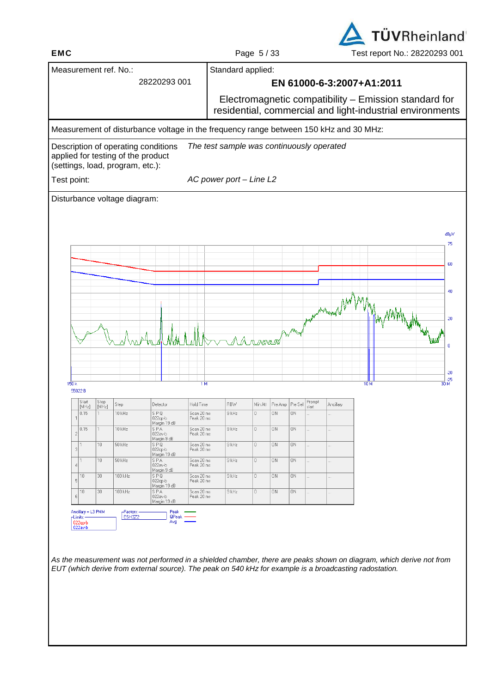**EMC** Page 5 / 33 Test report No.: 28220293 001

**TÜVRheinland** 

|                                                                                       |                           | Measurement ref. No.: |                                 |                          | Standard applied:                         |                   |         |         |        |                                                                                                                    |                 |              |
|---------------------------------------------------------------------------------------|---------------------------|-----------------------|---------------------------------|--------------------------|-------------------------------------------|-------------------|---------|---------|--------|--------------------------------------------------------------------------------------------------------------------|-----------------|--------------|
|                                                                                       |                           |                       | 28220293 001                    |                          |                                           |                   |         |         |        | EN 61000-6-3:2007+A1:2011                                                                                          |                 |              |
|                                                                                       |                           |                       |                                 |                          |                                           |                   |         |         |        | Electromagnetic compatibility - Emission standard for<br>residential, commercial and light-industrial environments |                 |              |
| Measurement of disturbance voltage in the frequency range between 150 kHz and 30 MHz: |                           |                       |                                 |                          |                                           |                   |         |         |        |                                                                                                                    |                 |              |
| Description of operating conditions                                                   |                           |                       |                                 |                          | The test sample was continuously operated |                   |         |         |        |                                                                                                                    |                 |              |
| applied for testing of the product<br>(settings, load, program, etc.):                |                           |                       |                                 |                          |                                           |                   |         |         |        |                                                                                                                    |                 |              |
| Test point:                                                                           |                           |                       |                                 |                          | AC power port - Line L2                   |                   |         |         |        |                                                                                                                    |                 |              |
| Disturbance voltage diagram:                                                          |                           |                       |                                 |                          |                                           |                   |         |         |        |                                                                                                                    |                 |              |
|                                                                                       |                           |                       |                                 |                          |                                           |                   |         |         |        |                                                                                                                    |                 |              |
|                                                                                       |                           |                       |                                 |                          |                                           |                   |         |         |        |                                                                                                                    |                 | dBµV         |
|                                                                                       |                           |                       |                                 |                          |                                           |                   |         |         |        |                                                                                                                    |                 | 75           |
|                                                                                       |                           |                       |                                 |                          |                                           |                   |         |         |        |                                                                                                                    |                 | 60           |
|                                                                                       |                           |                       |                                 |                          |                                           |                   |         |         |        |                                                                                                                    |                 |              |
|                                                                                       |                           |                       |                                 |                          |                                           |                   |         |         |        |                                                                                                                    |                 | 40           |
|                                                                                       |                           |                       |                                 |                          |                                           |                   |         |         |        | Annal                                                                                                              |                 |              |
|                                                                                       |                           |                       |                                 |                          |                                           |                   |         |         |        |                                                                                                                    |                 | 20           |
|                                                                                       |                           |                       |                                 |                          |                                           | A v <i>a</i> vaan |         |         |        |                                                                                                                    |                 | ٥            |
|                                                                                       |                           |                       |                                 |                          |                                           |                   |         |         |        |                                                                                                                    |                 |              |
|                                                                                       |                           |                       |                                 |                          |                                           |                   |         |         |        |                                                                                                                    |                 | $-20$        |
| 150k                                                                                  |                           |                       |                                 | 1M                       |                                           |                   |         |         |        |                                                                                                                    | 10 <sub>M</sub> | 님,25<br>30 M |
| 55022B<br>Start                                                                       | Stop<br>[MHz]<br>Step     |                       | Detector                        | Hold Time                | <b>RBW</b>                                | Min Att           | Pre Amp | Pre Sel | Prompt | Ancillary                                                                                                          |                 |              |
| [MHz]<br>0.15                                                                         | $10$ kHz                  |                       | SPO<br>$022qp-b$                | Scan 20 ms<br>Peak 20 ms | $9$ kHz                                   | $\overline{0}$    | 0N      | 0N      | start  |                                                                                                                    |                 |              |
| U. 15.                                                                                |                           | 10 kHz                | Margin 19 dB<br>S P A           | Scan 20 ms               | $9$ kHz                                   | U.                | 0N      | 0N      |        |                                                                                                                    |                 |              |
| $\overline{c}$                                                                        | 50 kHz<br>10              |                       | 022av-b<br>Margin 9 dB<br>SPQ   | Peak 20 ms<br>Scan 20 ms | $9$ kHz                                   | 0                 | 0N      | 0N      |        |                                                                                                                    |                 |              |
|                                                                                       |                           |                       | 022qp-b                         | Peak 20 ms               |                                           |                   |         |         |        |                                                                                                                    |                 |              |
| $\lceil$                                                                              |                           |                       | Margin 19 dB                    |                          |                                           |                   |         |         |        |                                                                                                                    |                 |              |
| 1<br>$\vert 4 \vert$                                                                  | 10 <sub>1</sub><br>50 kHz |                       | S P A<br>022av-b<br>Margin 9 dB | Scan 20 ms<br>Peak 20 ms | 9 kHz                                     | 0                 | 0N      | 0N      |        |                                                                                                                    |                 |              |
| 10<br>$\overline{5}$                                                                  | 30 <sub>1</sub>           | 100 kHz               | SPQ<br>022qp-b<br>Margin 19 dB  | Scan 20 ms<br>Peak 20 ms | 9 kHz                                     | $\mathbb O$       | 0N      | 0N      |        |                                                                                                                    |                 |              |
| 10<br>6                                                                               | 30 <sub>2</sub>           | 100 kHz               | SPA<br>022av-b<br>Margin 19 dB  | Scan 20 ms<br>Peak 20 ms | $9$ kHz                                   | $\mathbb O$       | 0N      | 0N      |        |                                                                                                                    |                 |              |
| Ancillary = L3 PMM<br>-Limits: -                                                      |                           | ⊢Factors:-<br>ESH3Z2  | Peak<br>QPeak -                 |                          |                                           |                   |         |         |        |                                                                                                                    |                 |              |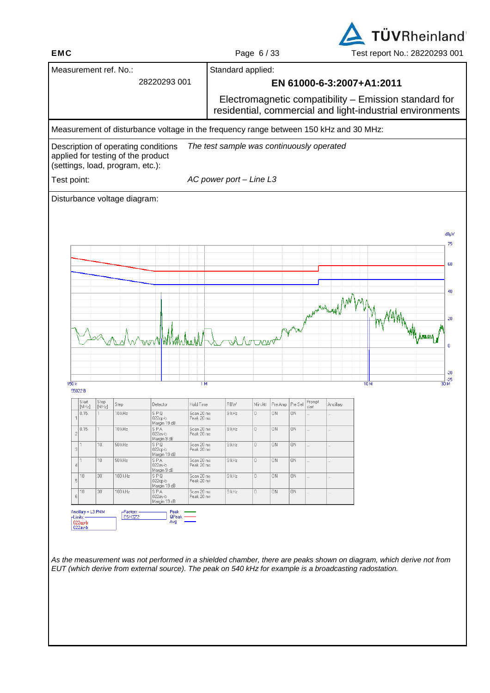**TÜVRheinland EMC** Page 6 / 33 Test report No.: 28220293 001

|                   |                                  |                 | Measurement ref. No.:              |                                                                                       |                          | Standard applied:                         |                        |           |         |        |                                                           |                 |           |       |
|-------------------|----------------------------------|-----------------|------------------------------------|---------------------------------------------------------------------------------------|--------------------------|-------------------------------------------|------------------------|-----------|---------|--------|-----------------------------------------------------------|-----------------|-----------|-------|
|                   |                                  |                 |                                    | 28220293 001                                                                          |                          |                                           |                        |           |         |        | EN 61000-6-3:2007+A1:2011                                 |                 |           |       |
|                   |                                  |                 |                                    |                                                                                       |                          |                                           |                        |           |         |        | Electromagnetic compatibility - Emission standard for     |                 |           |       |
|                   |                                  |                 |                                    |                                                                                       |                          |                                           |                        |           |         |        | residential, commercial and light-industrial environments |                 |           |       |
|                   |                                  |                 |                                    | Measurement of disturbance voltage in the frequency range between 150 kHz and 30 MHz: |                          |                                           |                        |           |         |        |                                                           |                 |           |       |
|                   |                                  |                 | applied for testing of the product | Description of operating conditions                                                   |                          | The test sample was continuously operated |                        |           |         |        |                                                           |                 |           |       |
|                   |                                  |                 | (settings, load, program, etc.):   |                                                                                       |                          |                                           |                        |           |         |        |                                                           |                 |           |       |
| Test point:       |                                  |                 |                                    |                                                                                       |                          | AC power port - Line L3                   |                        |           |         |        |                                                           |                 |           |       |
|                   |                                  |                 | Disturbance voltage diagram:       |                                                                                       |                          |                                           |                        |           |         |        |                                                           |                 |           |       |
|                   |                                  |                 |                                    |                                                                                       |                          |                                           |                        |           |         |        |                                                           |                 |           |       |
|                   |                                  |                 |                                    |                                                                                       |                          |                                           |                        |           |         |        |                                                           |                 |           | dBµV  |
|                   |                                  |                 |                                    |                                                                                       |                          |                                           |                        |           |         |        |                                                           |                 |           | 75    |
|                   |                                  |                 |                                    |                                                                                       |                          |                                           |                        |           |         |        |                                                           |                 |           | 60    |
|                   |                                  |                 |                                    |                                                                                       |                          |                                           |                        |           |         |        |                                                           |                 |           |       |
|                   |                                  |                 |                                    |                                                                                       |                          |                                           |                        |           |         |        |                                                           |                 |           | 40    |
|                   |                                  |                 |                                    |                                                                                       |                          |                                           |                        |           |         |        | showing the one of                                        |                 |           |       |
|                   |                                  |                 |                                    |                                                                                       |                          |                                           |                        |           |         |        |                                                           |                 |           | 20    |
|                   |                                  |                 |                                    |                                                                                       |                          |                                           |                        |           | N       |        |                                                           |                 | AM Armony |       |
|                   |                                  |                 |                                    | ₩w                                                                                    |                          |                                           | A Notonar <sup>a</sup> |           |         |        |                                                           |                 |           | 0     |
|                   |                                  |                 |                                    |                                                                                       |                          |                                           |                        |           |         |        |                                                           |                 |           |       |
|                   |                                  |                 |                                    |                                                                                       |                          |                                           |                        |           |         |        |                                                           |                 |           | $-20$ |
| 150k              | 55022B                           |                 |                                    |                                                                                       | 1M                       |                                           |                        |           |         |        |                                                           | 10 <sub>M</sub> |           |       |
|                   | Start                            | Stop<br>[MHz]   | Step                               | Detector                                                                              | Hold Time                | <b>RBW</b>                                | Min Att                | Pre Amp   | Pre Sel | Prompt | Ancillary                                                 |                 |           |       |
|                   | [MHz]<br>0.15                    |                 | $10$ kHz                           | SPO                                                                                   | Scan 20 ms               | $9$ kHz                                   | 0                      |           |         | start  |                                                           |                 |           |       |
|                   | U. I J                           |                 |                                    | $022qp-b$                                                                             | Peak 20 ms               |                                           |                        | ON        | 0N      |        |                                                           |                 |           |       |
|                   |                                  |                 | 10 kHz                             | Margin 19 dB<br>S P A                                                                 | Scan 20 ms               | $9$ kHz                                   |                        | 0N        | ΟN      |        |                                                           |                 |           |       |
| $\overline{2}$    | $\overline{1}$                   | 10 <sub>1</sub> | 50 kHz                             | 022av-b<br>Margin 9 dB<br>SPQ                                                         | Peak 20 ms<br>Scan 20 ms | 9 kHz                                     | 0                      | <b>ON</b> | 0N      |        |                                                           |                 |           |       |
| $\lvert 3 \rvert$ | l 1                              | 10              | 50 kHz                             | $022qp-b$<br>Margin 19 dB<br>SPA                                                      | Peak 20 ms<br>Scan 20 ms | 9 kHz                                     | 0                      | 0N        | 0N      |        | .                                                         |                 |           |       |
| 4                 |                                  |                 |                                    | 022av-b<br>Margin 9 dB                                                                | Peak 20 ms               |                                           |                        |           |         |        |                                                           |                 |           |       |
| $\overline{5}$    | 10                               | 30              | 100 kHz                            | SPQ<br>022qp-b<br>Margin 19 dB                                                        | Scan 20 ms<br>Peak 20 ms | 9 kHz                                     | $\mathbb{O}^-$         | 0N        | ΟN      |        |                                                           |                 |           |       |
| 6                 | 10                               | $30\,$          | 100 kHz                            | SPA<br>022av-b<br>Margin 19 dB                                                        | Scan 20 ms<br>Peak 20 ms | $9$ kHz                                   | 0                      | 0N        | 0N      |        | u.                                                        |                 |           |       |
|                   | Ancillary = L3 PMM<br>-Limits: - |                 | -Factors:-<br>ESH3Z2               | Peak<br>QPeak<br>Avg                                                                  |                          |                                           |                        |           |         |        |                                                           |                 |           |       |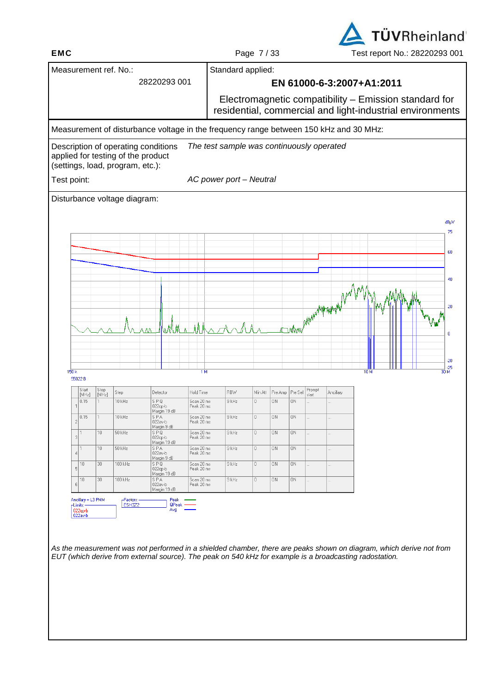**EMC** Page 7 / 33 Test report No.: 28220293 001

**TÜVRheinland** 

|                                 |                 | Measurement ref. No.:                                                     |                                                                                       |                          | Standard applied:                                                                                                  |                                        |    |                 |                 |                           |  |      |  |                |
|---------------------------------|-----------------|---------------------------------------------------------------------------|---------------------------------------------------------------------------------------|--------------------------|--------------------------------------------------------------------------------------------------------------------|----------------------------------------|----|-----------------|-----------------|---------------------------|--|------|--|----------------|
|                                 |                 |                                                                           | 28220293 001                                                                          |                          |                                                                                                                    |                                        |    |                 |                 | EN 61000-6-3:2007+A1:2011 |  |      |  |                |
|                                 |                 |                                                                           |                                                                                       |                          | Electromagnetic compatibility - Emission standard for<br>residential, commercial and light-industrial environments |                                        |    |                 |                 |                           |  |      |  |                |
|                                 |                 |                                                                           | Measurement of disturbance voltage in the frequency range between 150 kHz and 30 MHz: |                          |                                                                                                                    |                                        |    |                 |                 |                           |  |      |  |                |
|                                 |                 | Description of operating conditions<br>applied for testing of the product |                                                                                       |                          | The test sample was continuously operated                                                                          |                                        |    |                 |                 |                           |  |      |  |                |
|                                 |                 | (settings, load, program, etc.):                                          |                                                                                       |                          |                                                                                                                    |                                        |    |                 |                 |                           |  |      |  |                |
| Test point:                     |                 |                                                                           |                                                                                       |                          | AC power port - Neutral                                                                                            |                                        |    |                 |                 |                           |  |      |  |                |
|                                 |                 | Disturbance voltage diagram:                                              |                                                                                       |                          |                                                                                                                    |                                        |    |                 |                 |                           |  |      |  |                |
|                                 |                 |                                                                           |                                                                                       |                          |                                                                                                                    |                                        |    |                 |                 |                           |  |      |  | dBµV           |
|                                 |                 |                                                                           |                                                                                       |                          |                                                                                                                    |                                        |    |                 |                 |                           |  |      |  | 75             |
|                                 |                 |                                                                           |                                                                                       |                          |                                                                                                                    |                                        |    |                 |                 |                           |  |      |  | 60             |
|                                 |                 |                                                                           |                                                                                       |                          |                                                                                                                    |                                        |    |                 |                 |                           |  |      |  |                |
|                                 |                 |                                                                           |                                                                                       |                          |                                                                                                                    |                                        |    |                 |                 |                           |  |      |  | 40             |
|                                 |                 |                                                                           |                                                                                       |                          |                                                                                                                    |                                        |    |                 |                 |                           |  |      |  | 20             |
|                                 |                 |                                                                           |                                                                                       |                          |                                                                                                                    |                                        |    |                 |                 | Alamanhopaphyty           |  |      |  |                |
|                                 |                 |                                                                           | <u> Kalma I</u><br>٨M                                                                 |                          | Mkar                                                                                                               |                                        |    | <b>Now</b>      |                 |                           |  |      |  | n              |
|                                 |                 |                                                                           |                                                                                       |                          |                                                                                                                    |                                        |    |                 |                 |                           |  |      |  |                |
|                                 |                 |                                                                           |                                                                                       |                          |                                                                                                                    |                                        |    |                 |                 |                           |  |      |  | $-20$          |
| 150k<br>55022B                  |                 |                                                                           |                                                                                       | 1M                       |                                                                                                                    |                                        |    |                 |                 |                           |  | 10 M |  | _  .25<br>30 м |
| Start<br>[MHz]                  | Stop<br>[MHz]   | Step                                                                      | Detector                                                                              | Hold Time                | RBW                                                                                                                | Min Att                                |    | Pre Amp Pre Sel | Prompt<br>start | Ancillary                 |  |      |  |                |
| 0.15                            |                 | 10 kHz                                                                    | SPQ<br>$022qp-b$<br>Margin 19 dB                                                      | Scan 20 ms<br>Peak 20 ms | $9$ kHz                                                                                                            | 0                                      | 0N | 0N              |                 |                           |  |      |  |                |
| 0.15<br>$\mathfrak{D}$          |                 | 10 kHz                                                                    | SPA<br>022av-b<br>Margin 9 dB                                                         | Scan 20 ms<br>Peak 20 ms | 9 kHz                                                                                                              | $\begin{array}{c} 0 \end{array}$       | 0N | ΟN              |                 |                           |  |      |  |                |
| $\lvert$                        | 10              | 50 kHz                                                                    | SPQ<br>022qp-b<br>Margin 19 dB                                                        | Scan 20 ms<br>Peak 20 ms | $9$ kHz                                                                                                            | $\begin{array}{c} \square \end{array}$ | 0N | 0N              |                 |                           |  |      |  |                |
| 4                               | 10 <sub>1</sub> | 50 kHz                                                                    | SPA<br>022av-b                                                                        | Scan 20 ms<br>Peak 20 ms | $9$ kHz                                                                                                            | $\begin{array}{c} 0 \end{array}$       | 0N | 0N              |                 |                           |  |      |  |                |
|                                 |                 |                                                                           | Margin 9 dB                                                                           | Scan 20 ms               | 9 kHz                                                                                                              | $\begin{array}{c} 0 \end{array}$       | 0N | 0N              |                 |                           |  |      |  |                |
| 10<br>5 <sup>1</sup>            | 30 <sub>1</sub> | 100 kHz                                                                   | SPQ<br>022qp-b                                                                        | Peak 20 ms               |                                                                                                                    |                                        |    |                 |                 |                           |  |      |  |                |
| 10<br>6                         | 30 <sub>1</sub> | 100 kHz                                                                   | Margin 19 dB<br>SPA<br>022av-b                                                        | Scan 20 ms<br>Peak 20 ms | 9 kHz                                                                                                              | $\mathbb O$                            | 0N | 0N              |                 | .                         |  |      |  |                |
| Ancillary = L3 PMM<br>-Limits:- |                 | -Factors:-<br>ESH3Z2                                                      | Margin 19 dB<br>Peak<br>QPeak -                                                       |                          |                                                                                                                    |                                        |    |                 |                 |                           |  |      |  |                |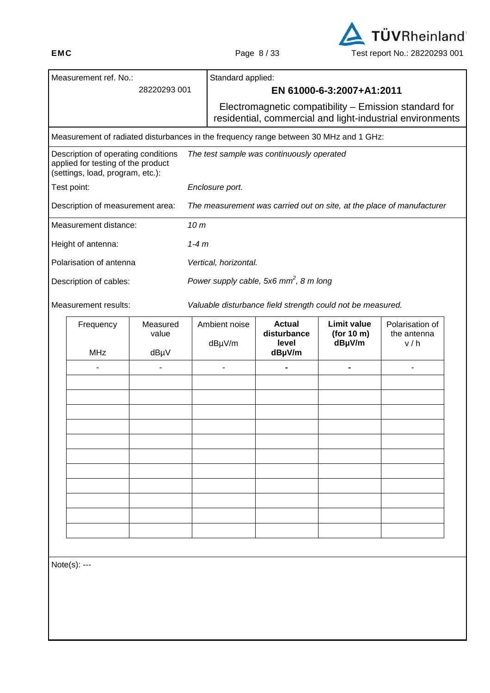

| Measurement ref. No.:                                                                                         |                                                                                       | Standard applied:     |                                                            |                                  |                                                                                                                    |  |
|---------------------------------------------------------------------------------------------------------------|---------------------------------------------------------------------------------------|-----------------------|------------------------------------------------------------|----------------------------------|--------------------------------------------------------------------------------------------------------------------|--|
|                                                                                                               | 28220293 001                                                                          |                       |                                                            | EN 61000-6-3:2007+A1:2011        |                                                                                                                    |  |
|                                                                                                               |                                                                                       |                       |                                                            |                                  | Electromagnetic compatibility - Emission standard for<br>residential, commercial and light-industrial environments |  |
|                                                                                                               | Measurement of radiated disturbances in the frequency range between 30 MHz and 1 GHz: |                       |                                                            |                                  |                                                                                                                    |  |
| Description of operating conditions<br>applied for testing of the product<br>(settings, load, program, etc.): |                                                                                       |                       | The test sample was continuously operated                  |                                  |                                                                                                                    |  |
| Test point:                                                                                                   |                                                                                       | Enclosure port.       |                                                            |                                  |                                                                                                                    |  |
| Description of measurement area:                                                                              |                                                                                       |                       |                                                            |                                  | The measurement was carried out on site, at the place of manufacturer                                              |  |
| Measurement distance:                                                                                         |                                                                                       | 10 <sub>m</sub>       |                                                            |                                  |                                                                                                                    |  |
| Height of antenna:                                                                                            |                                                                                       | $1-4m$                |                                                            |                                  |                                                                                                                    |  |
| Polarisation of antenna                                                                                       |                                                                                       | Vertical, horizontal. |                                                            |                                  |                                                                                                                    |  |
| Description of cables:                                                                                        |                                                                                       |                       | Power supply cable, 5x6 $mm^2$ , 8 m long                  |                                  |                                                                                                                    |  |
| Measurement results:                                                                                          |                                                                                       |                       | Valuable disturbance field strength could not be measured. |                                  |                                                                                                                    |  |
| Frequency                                                                                                     | Measured<br>value                                                                     | Ambient noise         | <b>Actual</b><br>disturbance                               | <b>Limit value</b><br>(for 10 m) | Polarisation of<br>the antenna                                                                                     |  |
| <b>MHz</b>                                                                                                    | dBµV                                                                                  | dBµV/m                | level<br>dBµV/m                                            | dBµV/m                           | v/h                                                                                                                |  |
| $\overline{a}$                                                                                                | Ĭ.                                                                                    | $\overline{a}$        | -                                                          | ۰                                |                                                                                                                    |  |
|                                                                                                               |                                                                                       |                       |                                                            |                                  |                                                                                                                    |  |
|                                                                                                               |                                                                                       |                       |                                                            |                                  |                                                                                                                    |  |
|                                                                                                               |                                                                                       |                       |                                                            |                                  |                                                                                                                    |  |
|                                                                                                               |                                                                                       |                       |                                                            |                                  |                                                                                                                    |  |
|                                                                                                               |                                                                                       |                       |                                                            |                                  |                                                                                                                    |  |
|                                                                                                               |                                                                                       |                       |                                                            |                                  |                                                                                                                    |  |
|                                                                                                               |                                                                                       |                       |                                                            |                                  |                                                                                                                    |  |
|                                                                                                               |                                                                                       |                       |                                                            |                                  |                                                                                                                    |  |
|                                                                                                               |                                                                                       |                       |                                                            |                                  |                                                                                                                    |  |
|                                                                                                               |                                                                                       |                       |                                                            |                                  |                                                                                                                    |  |
|                                                                                                               |                                                                                       |                       |                                                            |                                  |                                                                                                                    |  |
| Note(s): ---                                                                                                  |                                                                                       |                       |                                                            |                                  |                                                                                                                    |  |
|                                                                                                               |                                                                                       |                       |                                                            |                                  |                                                                                                                    |  |
|                                                                                                               |                                                                                       |                       |                                                            |                                  |                                                                                                                    |  |
|                                                                                                               |                                                                                       |                       |                                                            |                                  |                                                                                                                    |  |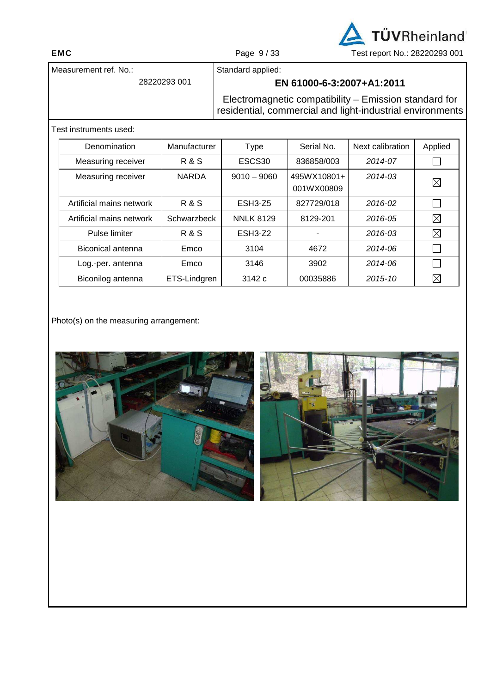TÜVRheinland **EMC** Page 9 / 33 Test report No.: 28220293 001

Measurement ref. No.:

28220293 001

Standard applied:

# **EN 61000-6-3:2007+A1:2011**

Electromagnetic compatibility – Emission standard for residential, commercial and light-industrial environments

Test instruments used:

| Denomination             | Manufacturer | Type               | Serial No.                | Next calibration | Applied     |
|--------------------------|--------------|--------------------|---------------------------|------------------|-------------|
| Measuring receiver       | R & S        | ESCS <sub>30</sub> | 836858/003                | 2014-07          |             |
| Measuring receiver       | <b>NARDA</b> | $9010 - 9060$      | 495WX10801+<br>001WX00809 | $2014 - 0.3$     | $\boxtimes$ |
| Artificial mains network | R & S        | ESH3-Z5            | 827729/018                | 2016-02          |             |
| Artificial mains network | Schwarzbeck  | <b>NNLK 8129</b>   | 8129-201                  | 2016-05          | $\boxtimes$ |
| Pulse limiter            | R & S        | ESH3-Z2            |                           | 2016-03          | $\boxtimes$ |
| Biconical antenna        | Emco         | 3104               | 4672                      | 2014-06          |             |
| Log.-per. antenna        | Emco         | 3146               | 3902                      | 2014-06          |             |
| Biconilog antenna        | ETS-Lindgren | 3142c              | 00035886                  | 2015-10          | $\boxtimes$ |

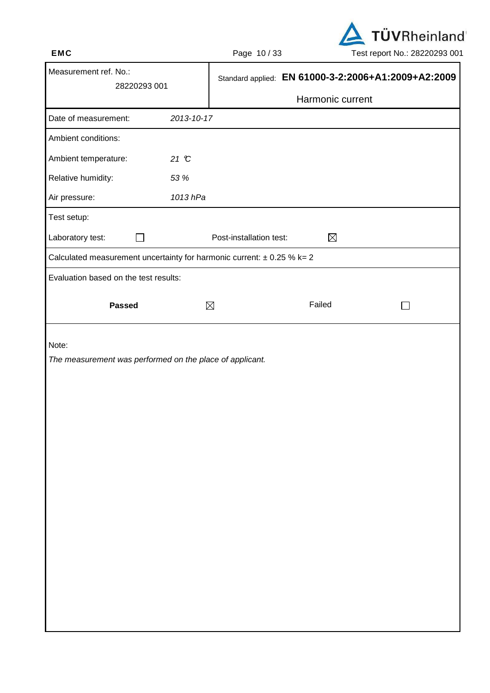

| Measurement ref. No.:<br>28220293 001                                      |            |                         | Standard applied: EN 61000-3-2:2006+A1:2009+A2:2009 |  |
|----------------------------------------------------------------------------|------------|-------------------------|-----------------------------------------------------|--|
|                                                                            |            |                         | Harmonic current                                    |  |
| Date of measurement:                                                       | 2013-10-17 |                         |                                                     |  |
| Ambient conditions:                                                        |            |                         |                                                     |  |
| Ambient temperature:                                                       | 21 °C      |                         |                                                     |  |
| Relative humidity:                                                         | 53 %       |                         |                                                     |  |
| Air pressure:                                                              | 1013 hPa   |                         |                                                     |  |
| Test setup:                                                                |            |                         |                                                     |  |
| Laboratory test:                                                           |            | Post-installation test: | $\boxtimes$                                         |  |
| Calculated measurement uncertainty for harmonic current: $\pm$ 0.25 % k= 2 |            |                         |                                                     |  |
| Evaluation based on the test results:                                      |            |                         |                                                     |  |
| <b>Passed</b>                                                              |            | $\boxtimes$             | Failed                                              |  |
| Note:<br>The measurement was performed on the place of applicant.          |            |                         |                                                     |  |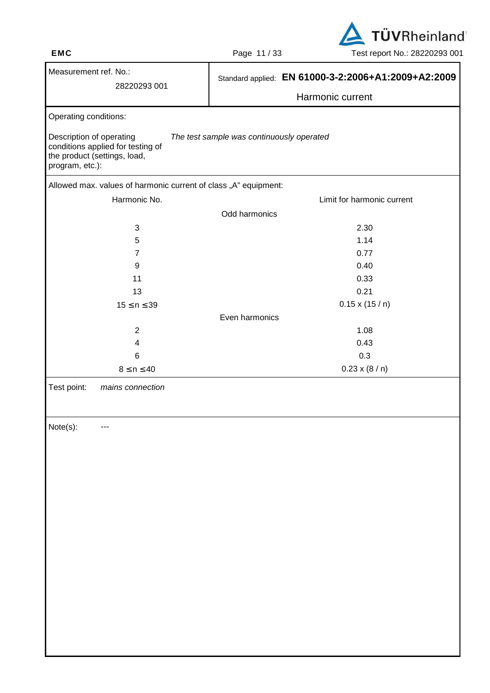

| Measurement ref. No.:<br>28220293 001                                                                            | Standard applied: EN 61000-3-2:2006+A1:2009+A2:2009 |
|------------------------------------------------------------------------------------------------------------------|-----------------------------------------------------|
|                                                                                                                  | Harmonic current                                    |
| Operating conditions:                                                                                            |                                                     |
| Description of operating<br>conditions applied for testing of<br>the product (settings, load,<br>program, etc.): | The test sample was continuously operated           |
| Allowed max. values of harmonic current of class "A" equipment:                                                  |                                                     |
| Harmonic No.                                                                                                     | Limit for harmonic current                          |
|                                                                                                                  | Odd harmonics                                       |
| 3                                                                                                                | 2.30                                                |
| 5                                                                                                                | 1.14                                                |
| $\overline{7}$                                                                                                   | 0.77                                                |
| 9                                                                                                                | 0.40                                                |
| 11                                                                                                               | 0.33                                                |
| 13                                                                                                               | 0.21                                                |
| $15 \le n \le 39$                                                                                                | $0.15 \times (15/n)$                                |
|                                                                                                                  | Even harmonics                                      |
| $\overline{2}$                                                                                                   | 1.08                                                |
| 4                                                                                                                | 0.43                                                |
| 6                                                                                                                | 0.3                                                 |
| $8 \le n \le 40$                                                                                                 | $0.23 \times (8/n)$                                 |
| Test point:<br>mains connection                                                                                  |                                                     |
| Note(s):<br>---                                                                                                  |                                                     |
|                                                                                                                  |                                                     |
|                                                                                                                  |                                                     |
|                                                                                                                  |                                                     |
|                                                                                                                  |                                                     |
|                                                                                                                  |                                                     |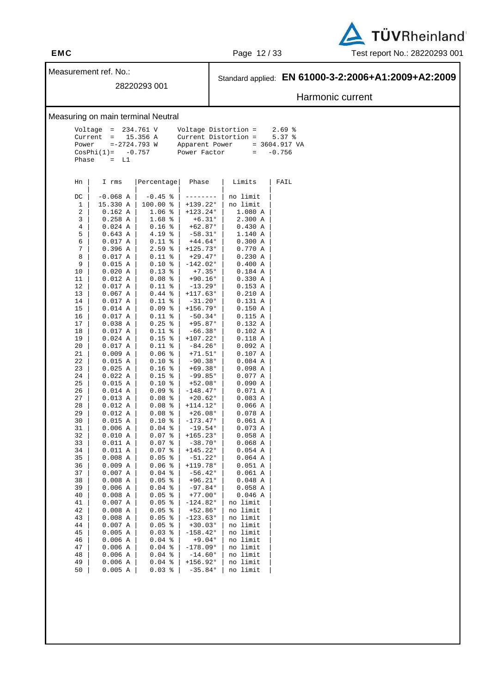

Measurement ref. No.:

## 28220293 001

# Standard applied: **EN 61000-3-2:2006+A1:2009+A2:2009**

# Harmonic current

### Measuring on main terminal Neutral

| $Voltaqe = 234.761 V$ |  |                | Voltage Distortion =   | $2.69$ %        |
|-----------------------|--|----------------|------------------------|-----------------|
| Current = $15.356$ A  |  |                | $Current$ Distortion = | $5.37$ $%$      |
| Power $=-2724.793$ W  |  | Apparent Power |                        | $= 3604.917 VA$ |
| $CosPhi(1) = -0.757$  |  | Power Factor   |                        | $= -0.756$      |
| Phase $=$ L1          |  |                |                        |                 |
|                       |  |                |                        |                 |

| Hn      | Ι<br>rms      | Percentage   | Phase             | Limits      | FAIL |
|---------|---------------|--------------|-------------------|-------------|------|
|         | $-0.068$<br>Α | $-0.45$<br>ႜ |                   | no limit    |      |
| DC<br>1 | 15.330 A      | 100.00<br>៖  | $+139.22°$        | no limit    |      |
|         |               |              |                   |             |      |
| 2       | $0.162$ A     | 1.06<br>ႜ    | $+123.24°$        | 1.080 A     |      |
| 3       | 0.258A        | 1.68<br>ి    | $+6.31°$          | 2.300<br>Α  |      |
| 4       | 0.024<br>Α    | 0.16<br>ႜ    | +62.87°           | 0.430<br>Α  |      |
| 5       | 0.643A        | 4.19<br>န့   | $-58.31°$         | 1.140 A     |      |
| 6       | 0.017<br>Α    | 0.11<br>ి    | $+44.64^{\circ}$  | 0.300<br>Α  |      |
| 7       | 0.396<br>Α    | 2.59<br>៖    | $+125.73°$        | 0.770<br>Α  |      |
| 8       | 0.017<br>Α    | 0.11<br>န့   | $+29.47°$         | 0.230<br>Α  |      |
| 9       | 0.015<br>Α    | 0.10<br>៖    | -142.02°          | 0.400<br>Α  |      |
| 10      | 0.020<br>Α    | 0.13<br>್ಠಿ  | $+7.35^{\circ}$   | $0.184$ A   |      |
| 11      | 0.012<br>Α    | 0.08<br>៖    | $+90.16°$         | 0.330 A     |      |
| 12      | 0.017<br>Α    | 0.11<br>ႜ    | $-13.29°$         | $0.153$ A   |      |
| 13      | 0.067<br>Α    | 0.44<br>န့   | $+117.63°$        | 0.210<br>Α  |      |
| 14      | 0.017<br>Α    | 0.11<br>ႜ    | $-31.20°$         | 0.131<br>Α  |      |
| 15      | 0.014<br>A    | 0.09<br>န့   | $+156.79°$        | 0.150<br>Α  |      |
| 16      | 0.017<br>Α    | 0.11<br>ి    | $-50.34$ °        | 0.115<br>Α  |      |
| 17      | 0.038<br>Α    | 0.25<br>န့   | $+95.87°$         | 0.132A      |      |
| 18      | 0.017<br>Α    | 0.11<br>ి    | $-66.38^{\circ}$  | 0.102<br>Α  |      |
| 19      | 0.024<br>Α    | 0.15<br>န့   | $+107.22$ °       | 0.118<br>Α  |      |
| 20      | 0.017<br>Α    | 0.11<br>ి    | $-84.26$ °        | 0.092<br>Α  |      |
| 21      | 0.009<br>Α    | 0.06<br>ႜ    | +71.51°           | 0.107<br>Α  |      |
| 22      | 0.015<br>Α    | 0.10<br>ి    | $-90.38°$         | 0.084A      |      |
| 23      | 0.025<br>Α    | 0.16<br>ႜ    | $+69.38°$         | 0.098<br>Α  |      |
| 24      | 0.022<br>Α    | 0.15<br>ႜ    | $-99.85°$         | 0.077 A     |      |
| 25      | 0.015<br>Α    | 0.10<br>៖    | $+52.08°$         | 0.090<br>Α  |      |
| 26      | 0.014 A       | 0.09<br>ႜ    | $-148.47^{\circ}$ | 0.071<br>A  |      |
| 27      | 0.013 A       | 0.08<br>န့   | $+20.62°$         | 0.083<br>Α  |      |
| 28      | 0.012 A       | 0.08<br>ႜ    | $+114.12°$        | 0.066<br>Α  |      |
| 29      | 0.012<br>A    | 0.08<br>န့   | $+26.08°$         | 0.078A      |      |
| 30      | 0.015<br>Α    | 0.10<br>ႜ    | -173.47°          | 0.061<br>Α  |      |
| 31      | 0.006<br>Α    | 0.04<br>န့   | $-19.54°$         | 0.073<br>Α  |      |
| 32      |               |              | $+165.23°$        |             |      |
|         | 0.010 A       | 0.07<br>ి    |                   | 0.058<br>Α  |      |
| 33      | 0.011<br>Α    | 0.07<br>ႜ    | $-38.70°$         | 0.068<br>Α  |      |
| 34      | 0.011<br>Α    | 0.07<br>န့   | $+145.22°$        | 0.054A      |      |
| 35      | 0.008<br>Α    | 0.05<br>ႜ    | $-51.22^{\circ}$  | $0.064$ A   |      |
| 36      | 0.009 A       | 0.06<br>န့   | $+119.78°$        | 0.051 A     |      |
| 37      | 0.007<br>Α    | 0.04<br>៖    | $-56.42°$         | 0.061<br>Α  |      |
| 38      | 0.008<br>Α    | 0.05<br>៖    | $+96.21°$         | 0.048A      |      |
| 39      | 0.006<br>Α    | 0.04<br>ႜ    | $-97.84°$         | 0.058A      |      |
| 40      | 0.008<br>Α    | 0.05<br>៖    | $+77.00°$         | 0.046A      |      |
| 41      | $0.007$ A     | 0.05<br>್ಠಿ  | $-124.82^{\circ}$ | no limit    |      |
| 42      | 0.008<br>Α    | 0.05<br>နွ   | $+52.86°$         | limit<br>no |      |
| 43      | 0.008<br>Α    | 0.05<br>န့   | $-123.63^{\circ}$ | limit<br>no |      |
| 44      | 0.007<br>Α    | 0.05<br>န့   | $+30.03°$         | limit<br>no |      |
| 45      | 0.005<br>Α    | 0.03<br>ႜ    | $-158.42$ °       | limit<br>no |      |
| 46      | 0.006<br>Α    | 0.04<br>န့   | $+9.04°$          | limit<br>no |      |
| 47      | 0.006<br>Α    | 0.04<br>ಕಿ   | $-178.09°$        | no limit    |      |
| 48      | 0.006<br>Α    | 0.04<br>နွ   | $-14.60°$         | limit<br>no |      |
| 49      | 0.006<br>Α    | 0.04<br>နွ   | +156.92°          | limit<br>no |      |
| 50      | $0.005$ A     | န့<br>0.03   | $-35.84°$         | limit<br>no |      |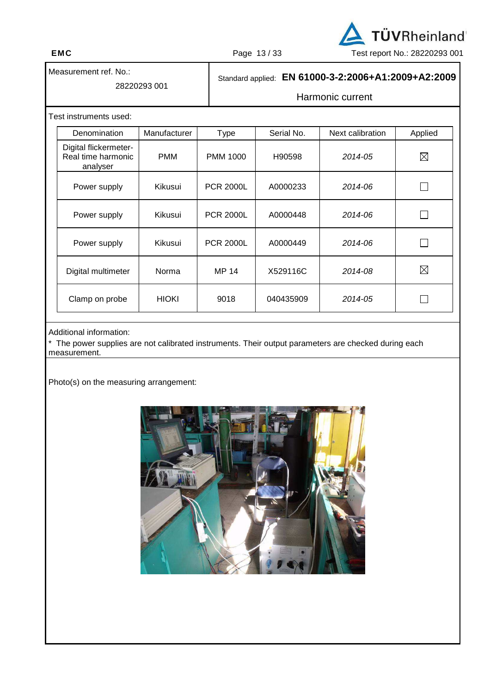

Measurement ref. No.:

### 28220293 001

# Standard applied: **EN 61000-3-2:2006+A1:2009+A2:2009**

# Harmonic current

Test instruments used:

| Denomination                                            | Manufacturer | <b>Type</b>      | Serial No. | Next calibration | Applied     |
|---------------------------------------------------------|--------------|------------------|------------|------------------|-------------|
| Digital flickermeter-<br>Real time harmonic<br>analyser | <b>PMM</b>   | <b>PMM 1000</b>  | H90598     | 2014-05          | $\boxtimes$ |
| Power supply                                            | Kikusui      | <b>PCR 2000L</b> | A0000233   | 2014-06          |             |
| Power supply                                            | Kikusui      | <b>PCR 2000L</b> | A0000448   | 2014-06          |             |
| Power supply                                            | Kikusui      | <b>PCR 2000L</b> | A0000449   | 2014-06          |             |
| Digital multimeter                                      | Norma        | <b>MP 14</b>     | X529116C   | 2014-08          | $\boxtimes$ |
| Clamp on probe                                          | <b>HIOKI</b> | 9018             | 040435909  | 2014-05          |             |

### Additional information:

\* The power supplies are not calibrated instruments. Their output parameters are checked during each measurement.

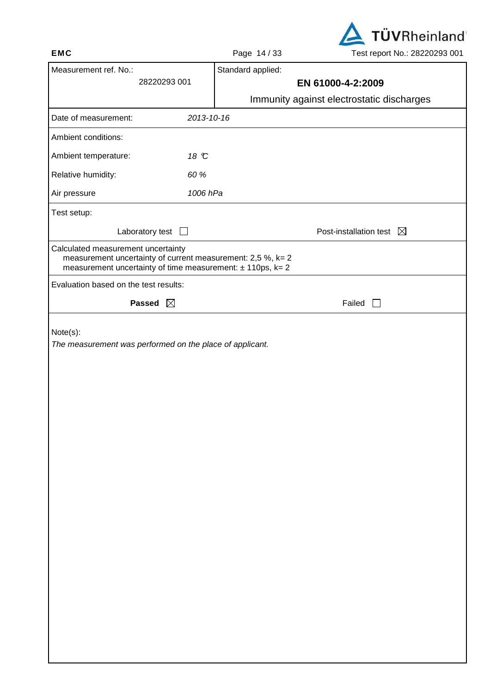| <b>TUVRheinland</b>           |
|-------------------------------|
| Test report No.: 28220293 001 |

| <b>EMC</b>                                                                                                                                                          | Page 14/33        | Test report No.: 28220293 001             |
|---------------------------------------------------------------------------------------------------------------------------------------------------------------------|-------------------|-------------------------------------------|
| Measurement ref. No.:                                                                                                                                               | Standard applied: |                                           |
| 28220293 001                                                                                                                                                        |                   | EN 61000-4-2:2009                         |
|                                                                                                                                                                     |                   | Immunity against electrostatic discharges |
| 2013-10-16<br>Date of measurement:                                                                                                                                  |                   |                                           |
| Ambient conditions:                                                                                                                                                 |                   |                                           |
| Ambient temperature:<br>18 °C                                                                                                                                       |                   |                                           |
| 60 %<br>Relative humidity:                                                                                                                                          |                   |                                           |
| 1006 hPa<br>Air pressure                                                                                                                                            |                   |                                           |
| Test setup:                                                                                                                                                         |                   |                                           |
| Laboratory test                                                                                                                                                     |                   | Post-installation test $\boxtimes$        |
| Calculated measurement uncertainty<br>measurement uncertainty of current measurement: 2,5 %, k= 2<br>measurement uncertainty of time measurement: $\pm$ 110ps, k= 2 |                   |                                           |
| Evaluation based on the test results:                                                                                                                               |                   |                                           |
| Passed $\boxtimes$                                                                                                                                                  |                   | Failed                                    |
| Note(s):<br>The measurement was performed on the place of applicant.                                                                                                |                   |                                           |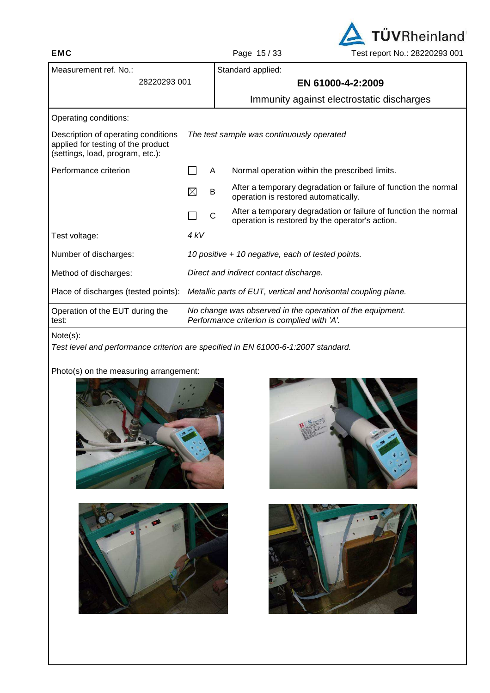

| Measurement ref. No.:                                                                                         |                                                                |  | Standard applied:                                                                                                  |  |  |
|---------------------------------------------------------------------------------------------------------------|----------------------------------------------------------------|--|--------------------------------------------------------------------------------------------------------------------|--|--|
| 28220293 001                                                                                                  |                                                                |  | EN 61000-4-2:2009                                                                                                  |  |  |
|                                                                                                               |                                                                |  | Immunity against electrostatic discharges                                                                          |  |  |
| Operating conditions:                                                                                         |                                                                |  |                                                                                                                    |  |  |
| Description of operating conditions<br>applied for testing of the product<br>(settings, load, program, etc.): |                                                                |  | The test sample was continuously operated                                                                          |  |  |
| Performance criterion                                                                                         | A                                                              |  | Normal operation within the prescribed limits.                                                                     |  |  |
|                                                                                                               | $\boxtimes$<br>B                                               |  | After a temporary degradation or failure of function the normal<br>operation is restored automatically.            |  |  |
|                                                                                                               | C                                                              |  | After a temporary degradation or failure of function the normal<br>operation is restored by the operator's action. |  |  |
| Test voltage:                                                                                                 | 4kV                                                            |  |                                                                                                                    |  |  |
| Number of discharges:                                                                                         |                                                                |  | 10 positive + 10 negative, each of tested points.                                                                  |  |  |
| Method of discharges:                                                                                         |                                                                |  | Direct and indirect contact discharge.                                                                             |  |  |
| Place of discharges (tested points):                                                                          | Metallic parts of EUT, vertical and horisontal coupling plane. |  |                                                                                                                    |  |  |
| Operation of the EUT during the<br>test:                                                                      |                                                                |  | No change was observed in the operation of the equipment.<br>Performance criterion is complied with 'A'.           |  |  |

Test level and performance criterion are specified in EN 61000-6-1:2007 standard.







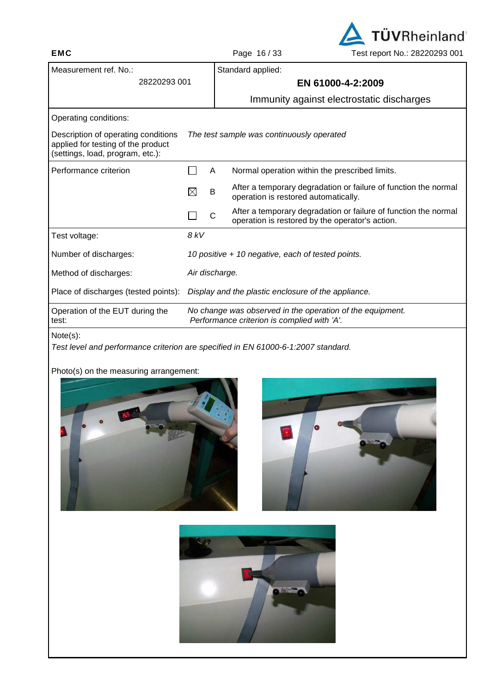

| Measurement ref. No.:                                                                                         |                                                                                                          |   | Standard applied:                                                                                                  |  |  |  |
|---------------------------------------------------------------------------------------------------------------|----------------------------------------------------------------------------------------------------------|---|--------------------------------------------------------------------------------------------------------------------|--|--|--|
| 28220293 001                                                                                                  |                                                                                                          |   | EN 61000-4-2:2009                                                                                                  |  |  |  |
|                                                                                                               |                                                                                                          |   | Immunity against electrostatic discharges                                                                          |  |  |  |
| Operating conditions:                                                                                         |                                                                                                          |   |                                                                                                                    |  |  |  |
| Description of operating conditions<br>applied for testing of the product<br>(settings, load, program, etc.): |                                                                                                          |   | The test sample was continuously operated                                                                          |  |  |  |
| Performance criterion                                                                                         |                                                                                                          | A | Normal operation within the prescribed limits.                                                                     |  |  |  |
|                                                                                                               | $\boxtimes$                                                                                              | B | After a temporary degradation or failure of function the normal<br>operation is restored automatically.            |  |  |  |
|                                                                                                               |                                                                                                          | C | After a temporary degradation or failure of function the normal<br>operation is restored by the operator's action. |  |  |  |
| Test voltage:                                                                                                 | 8 kV                                                                                                     |   |                                                                                                                    |  |  |  |
| Number of discharges:                                                                                         |                                                                                                          |   | 10 positive + 10 negative, each of tested points.                                                                  |  |  |  |
| Method of discharges:                                                                                         | Air discharge.                                                                                           |   |                                                                                                                    |  |  |  |
| Place of discharges (tested points):                                                                          | Display and the plastic enclosure of the appliance.                                                      |   |                                                                                                                    |  |  |  |
| Operation of the EUT during the<br>test:                                                                      | No change was observed in the operation of the equipment.<br>Performance criterion is complied with 'A'. |   |                                                                                                                    |  |  |  |
| .                                                                                                             |                                                                                                          |   |                                                                                                                    |  |  |  |

Test level and performance criterion are specified in EN 61000-6-1:2007 standard.





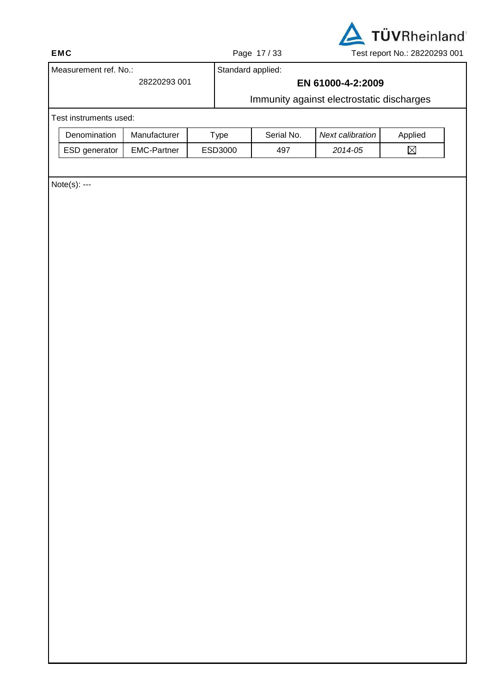

 $\boxtimes$ 

ESD generator | EMC-Partner | ESD3000 | 497 | 2014-05

# Measurement ref. No.: 28220293 001 Standard applied: **EN 61000-4-2:2009**  Immunity against electrostatic discharges Test instruments used: Denomination | Manufacturer | Type | Serial No. | Next calibration | Applied

Note(s): ---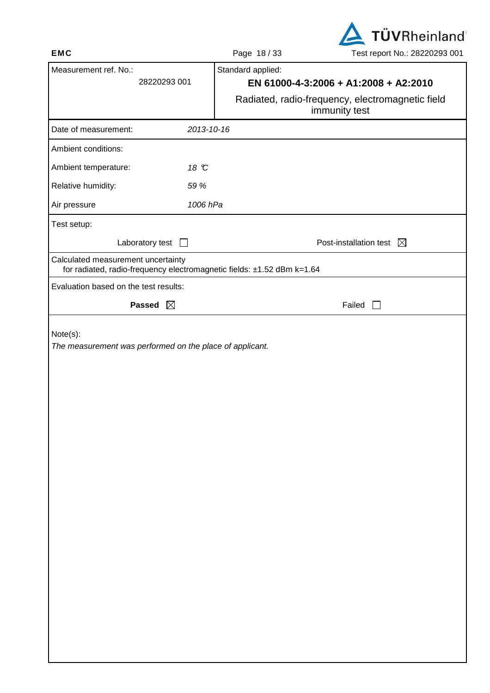

| ᄂس                                                                                                           | $r$ aye $10/33$<br><b>LEST LEDOLL INO COLLULED ON L</b>           |
|--------------------------------------------------------------------------------------------------------------|-------------------------------------------------------------------|
| Measurement ref. No.:<br>28220293 001                                                                        | Standard applied:<br>EN 61000-4-3:2006 + A1:2008 + A2:2010        |
|                                                                                                              | Radiated, radio-frequency, electromagnetic field<br>immunity test |
| Date of measurement:<br>2013-10-16                                                                           |                                                                   |
| Ambient conditions:                                                                                          |                                                                   |
| Ambient temperature:<br>18 °C                                                                                |                                                                   |
| Relative humidity:<br>59 %                                                                                   |                                                                   |
| 1006 hPa<br>Air pressure                                                                                     |                                                                   |
| Test setup:                                                                                                  |                                                                   |
| Laboratory test $\Box$                                                                                       | Post-installation test $\boxtimes$                                |
| Calculated measurement uncertainty<br>for radiated, radio-frequency electromagnetic fields: ±1.52 dBm k=1.64 |                                                                   |
| Evaluation based on the test results:                                                                        |                                                                   |
| Passed $\boxtimes$                                                                                           | Failed                                                            |
| Note(s):<br>The measurement was performed on the place of applicant.                                         |                                                                   |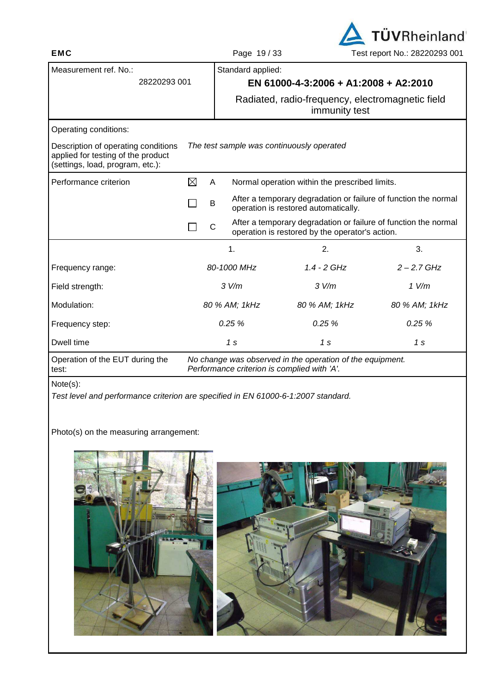

| ►™                                                                                                            |   | <b>696 137 JJ</b>                           |                                                            | LESLIEPUILINU ZUZZUZJU UU                                         |  |  |  |
|---------------------------------------------------------------------------------------------------------------|---|---------------------------------------------|------------------------------------------------------------|-------------------------------------------------------------------|--|--|--|
| Measurement ref. No.:<br>28220293 001                                                                         |   |                                             | Standard applied:<br>EN 61000-4-3:2006 + A1:2008 + A2:2010 |                                                                   |  |  |  |
|                                                                                                               |   |                                             |                                                            | Radiated, radio-frequency, electromagnetic field<br>immunity test |  |  |  |
| Operating conditions:                                                                                         |   |                                             |                                                            |                                                                   |  |  |  |
| Description of operating conditions<br>applied for testing of the product<br>(settings, load, program, etc.): |   |                                             | The test sample was continuously operated                  |                                                                   |  |  |  |
| Performance criterion                                                                                         | ⊠ | A                                           | Normal operation within the prescribed limits.             |                                                                   |  |  |  |
|                                                                                                               |   | B                                           | operation is restored automatically.                       | After a temporary degradation or failure of function the normal   |  |  |  |
|                                                                                                               |   | C                                           | operation is restored by the operator's action.            | After a temporary degradation or failure of function the normal   |  |  |  |
|                                                                                                               |   | 1.                                          | 2.                                                         | 3.                                                                |  |  |  |
| Frequency range:                                                                                              |   | 80-1000 MHz                                 | $1.4 - 2$ GHz                                              | $2 - 2.7$ GHz                                                     |  |  |  |
| Field strength:                                                                                               |   | 3 V/m                                       | 3 V/m                                                      | $1$ V/m                                                           |  |  |  |
| Modulation:                                                                                                   |   | 80 % AM; 1kHz                               | 80 % AM; 1kHz                                              | 80 % AM; 1kHz                                                     |  |  |  |
| Frequency step:                                                                                               |   | 0.25%                                       | 0.25%                                                      | 0.25%                                                             |  |  |  |
| Dwell time                                                                                                    |   | 1 s                                         | 1 s                                                        | 1 s                                                               |  |  |  |
| Operation of the EUT during the<br>test:                                                                      |   | Performance criterion is complied with 'A'. | No change was observed in the operation of the equipment.  |                                                                   |  |  |  |

Test level and performance criterion are specified in EN 61000-6-1:2007 standard.

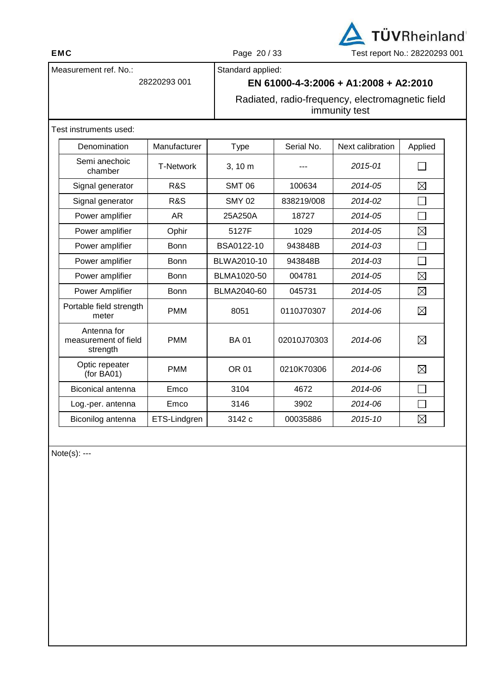

Standard applied:

**EN 61000-4-3:2006 + A1:2008 + A2:2010** 

Radiated, radio-frequency, electromagnetic field immunity test

Test instruments used:

Measurement ref. No.:

28220293 001

| Denomination                                    | Manufacturer     | <b>Type</b>   | Serial No.  | Next calibration | Applied     |
|-------------------------------------------------|------------------|---------------|-------------|------------------|-------------|
| Semi anechoic<br>chamber                        | <b>T-Network</b> | 3, 10 m       |             | 2015-01          |             |
| Signal generator                                | R&S              | <b>SMT 06</b> | 100634      | 2014-05          | $\boxtimes$ |
| Signal generator                                | <b>R&amp;S</b>   | <b>SMY 02</b> | 838219/008  | 2014-02          |             |
| Power amplifier                                 | AR.              | 25A250A       | 18727       | 2014-05          |             |
| Power amplifier                                 | Ophir            | 5127F         | 1029        | 2014-05          | $\boxtimes$ |
| Power amplifier                                 | <b>Bonn</b>      | BSA0122-10    | 943848B     | 2014-03          | ×           |
| Power amplifier                                 | <b>Bonn</b>      | BLWA2010-10   | 943848B     | $2014 - 0.3$     |             |
| Power amplifier                                 | <b>Bonn</b>      | BLMA1020-50   | 004781      | 2014-05          | $\boxtimes$ |
| Power Amplifier                                 | Bonn             | BLMA2040-60   | 045731      | 2014-05          | $\boxtimes$ |
| Portable field strength<br>meter                | <b>PMM</b>       | 8051          | 0110J70307  | 2014-06          | $\boxtimes$ |
| Antenna for<br>measurement of field<br>strength | <b>PMM</b>       | <b>BA01</b>   | 02010J70303 | 2014-06          | $\boxtimes$ |
| Optic repeater<br>(for BA01)                    | <b>PMM</b>       | <b>OR 01</b>  | 0210K70306  | 2014-06          | $\boxtimes$ |
| Biconical antenna                               | Emco             | 3104          | 4672        | 2014-06          |             |
| Log.-per. antenna                               | Emco             | 3146          | 3902        | 2014-06          |             |
| Biconilog antenna                               | ETS-Lindgren     | 3142 c        | 00035886    | $2015 - 10$      | $\boxtimes$ |

Note(s): ---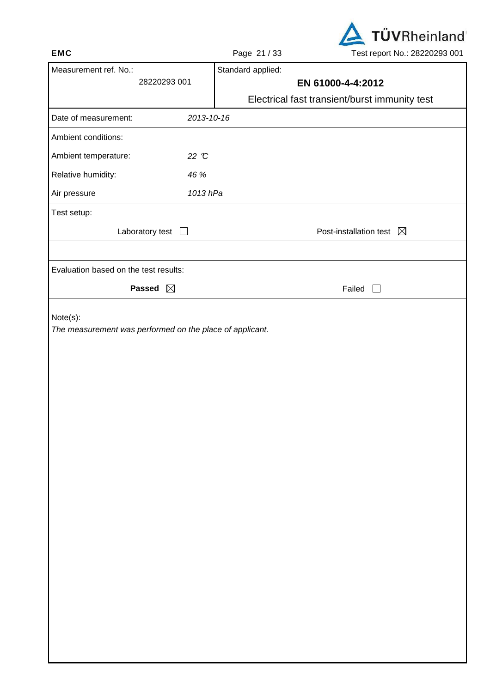

|                                       |                        | $.990 - .790$     | 18011001110112022000001                       |
|---------------------------------------|------------------------|-------------------|-----------------------------------------------|
| Measurement ref. No.:                 |                        | Standard applied: |                                               |
|                                       | 28220293 001           |                   | EN 61000-4-4:2012                             |
| Date of measurement:                  | 2013-10-16             |                   | Electrical fast transient/burst immunity test |
|                                       |                        |                   |                                               |
| Ambient conditions:                   |                        |                   |                                               |
| Ambient temperature:                  | 22 °C                  |                   |                                               |
| Relative humidity:                    | 46 %                   |                   |                                               |
| Air pressure                          | 1013 hPa               |                   |                                               |
| Test setup:                           |                        |                   |                                               |
|                                       | Laboratory test $\Box$ |                   | Post-installation test $\boxtimes$            |
|                                       |                        |                   |                                               |
| Evaluation based on the test results: |                        |                   |                                               |
|                                       | Passed $\boxtimes$     |                   | Failed $\Box$                                 |
|                                       |                        |                   |                                               |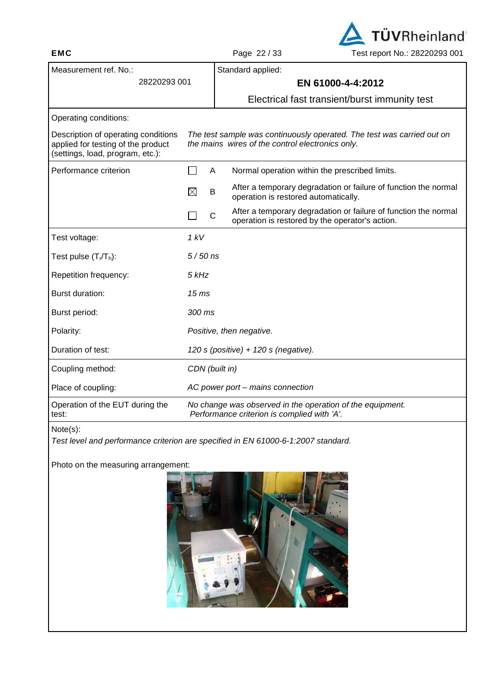**EMC** Page 22 / 33 Test report No.: 28220293 001

**TÜVRheinland** 

| Measurement ref. No.:                                                                                         |                                                                                                                            |   | Standard applied:                                                                                                  |  |  |
|---------------------------------------------------------------------------------------------------------------|----------------------------------------------------------------------------------------------------------------------------|---|--------------------------------------------------------------------------------------------------------------------|--|--|
| 28220293 001                                                                                                  |                                                                                                                            |   | EN 61000-4-4:2012                                                                                                  |  |  |
|                                                                                                               |                                                                                                                            |   | Electrical fast transient/burst immunity test                                                                      |  |  |
| Operating conditions:                                                                                         |                                                                                                                            |   |                                                                                                                    |  |  |
| Description of operating conditions<br>applied for testing of the product<br>(settings, load, program, etc.): | The test sample was continuously operated. The test was carried out on<br>the mains wires of the control electronics only. |   |                                                                                                                    |  |  |
| Performance criterion                                                                                         |                                                                                                                            | Α | Normal operation within the prescribed limits.                                                                     |  |  |
|                                                                                                               | $\boxtimes$                                                                                                                | B | After a temporary degradation or failure of function the normal<br>operation is restored automatically.            |  |  |
|                                                                                                               |                                                                                                                            | C | After a temporary degradation or failure of function the normal<br>operation is restored by the operator's action. |  |  |
| Test voltage:                                                                                                 | 1 kV                                                                                                                       |   |                                                                                                                    |  |  |
| Test pulse $(T_r/T_h)$ :                                                                                      | $5/50$ ns                                                                                                                  |   |                                                                                                                    |  |  |
| Repetition frequency:                                                                                         | 5 kHz                                                                                                                      |   |                                                                                                                    |  |  |
| Burst duration:                                                                                               | 15 <sub>ms</sub>                                                                                                           |   |                                                                                                                    |  |  |
| Burst period:                                                                                                 | 300 ms                                                                                                                     |   |                                                                                                                    |  |  |
| Polarity:                                                                                                     |                                                                                                                            |   | Positive, then negative.                                                                                           |  |  |
| Duration of test:                                                                                             | 120 s (positive) + 120 s (negative).                                                                                       |   |                                                                                                                    |  |  |
| Coupling method:                                                                                              | CDN (built in)                                                                                                             |   |                                                                                                                    |  |  |
| Place of coupling:                                                                                            | AC power port - mains connection                                                                                           |   |                                                                                                                    |  |  |
| Operation of the EUT during the<br>test:                                                                      | No change was observed in the operation of the equipment.<br>Performance criterion is complied with 'A'.                   |   |                                                                                                                    |  |  |

Test level and performance criterion are specified in EN 61000-6-1:2007 standard.



Note(s):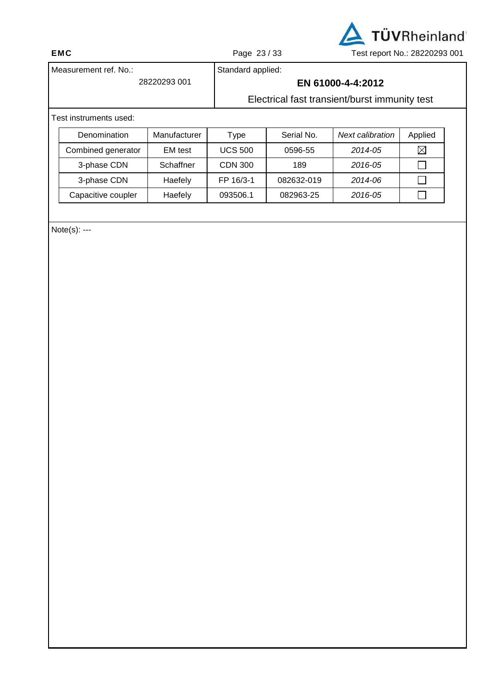

Standard applied:

# **EN 61000-4-4:2012**

Electrical fast transient/burst immunity test

## Test instruments used:

Measurement ref. No.:

28220293 001

| Denomination       | Manufacturer   | Type           | Serial No. | Next calibration | Applied     |
|--------------------|----------------|----------------|------------|------------------|-------------|
| Combined generator | <b>EM</b> test | <b>UCS 500</b> | 0596-55    | 2014-05          | $\boxtimes$ |
| 3-phase CDN        | Schaffner      | <b>CDN 300</b> | 189        | 2016-05          |             |
| 3-phase CDN        | Haefely        | FP 16/3-1      | 082632-019 | 2014-06          |             |
| Capacitive coupler | Haefely        | 093506.1       | 082963-25  | 2016-05          |             |

Note(s): ---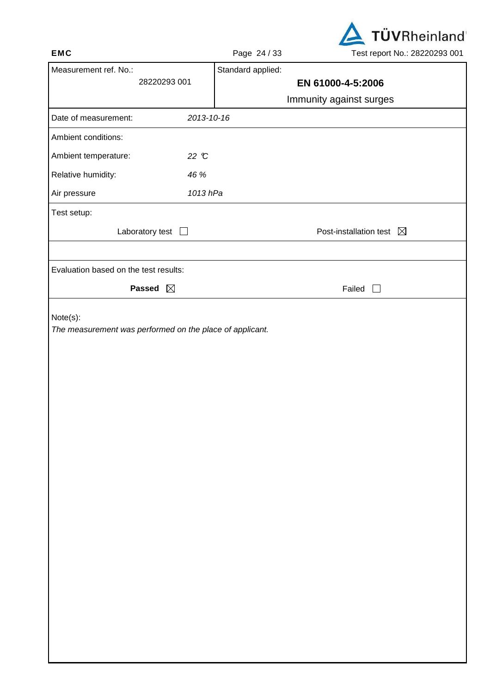

|                                       |            | $1.490$ $-1.700$  | Toot report i to EULLULUU UU T     |
|---------------------------------------|------------|-------------------|------------------------------------|
| Measurement ref. No.:                 |            | Standard applied: |                                    |
| 28220293 001                          |            |                   | EN 61000-4-5:2006                  |
|                                       |            |                   | Immunity against surges            |
| Date of measurement:                  | 2013-10-16 |                   |                                    |
| Ambient conditions:                   |            |                   |                                    |
| Ambient temperature:                  | 22 °C      |                   |                                    |
| Relative humidity:                    | 46 %       |                   |                                    |
| Air pressure                          | 1013 hPa   |                   |                                    |
| Test setup:                           |            |                   |                                    |
| Laboratory test $\Box$                |            |                   | Post-installation test $\boxtimes$ |
|                                       |            |                   |                                    |
| Evaluation based on the test results: |            |                   |                                    |
| Passed $\boxtimes$                    |            |                   | Failed $\Box$                      |
|                                       |            |                   |                                    |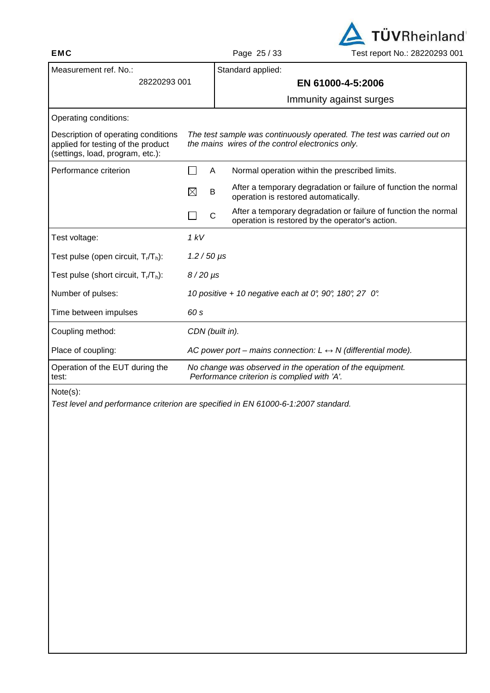

| Measurement ref. No.:                                                                                         |                                                                                                                            |  | Standard applied:                                                                                                  |  |  |
|---------------------------------------------------------------------------------------------------------------|----------------------------------------------------------------------------------------------------------------------------|--|--------------------------------------------------------------------------------------------------------------------|--|--|
| 28220293 001                                                                                                  |                                                                                                                            |  | EN 61000-4-5:2006                                                                                                  |  |  |
|                                                                                                               |                                                                                                                            |  | Immunity against surges                                                                                            |  |  |
| Operating conditions:                                                                                         |                                                                                                                            |  |                                                                                                                    |  |  |
| Description of operating conditions<br>applied for testing of the product<br>(settings, load, program, etc.): | The test sample was continuously operated. The test was carried out on<br>the mains wires of the control electronics only. |  |                                                                                                                    |  |  |
| Performance criterion                                                                                         | A                                                                                                                          |  | Normal operation within the prescribed limits.                                                                     |  |  |
|                                                                                                               | $\boxtimes$<br>B                                                                                                           |  | After a temporary degradation or failure of function the normal<br>operation is restored automatically.            |  |  |
|                                                                                                               | C                                                                                                                          |  | After a temporary degradation or failure of function the normal<br>operation is restored by the operator's action. |  |  |
| Test voltage:                                                                                                 | 1 kV                                                                                                                       |  |                                                                                                                    |  |  |
| Test pulse (open circuit, T <sub>r</sub> /T <sub>h</sub> ):                                                   | $1.2/50 \,\mu s$                                                                                                           |  |                                                                                                                    |  |  |
| Test pulse (short circuit, $T_r/T_h$ ):                                                                       | $8/20 \,\mu s$                                                                                                             |  |                                                                                                                    |  |  |
| Number of pulses:                                                                                             |                                                                                                                            |  | 10 positive + 10 negative each at 0°, 90°, 180°, 27 0°.                                                            |  |  |
| Time between impulses                                                                                         | 60 s                                                                                                                       |  |                                                                                                                    |  |  |
| Coupling method:                                                                                              | CDN (built in).                                                                                                            |  |                                                                                                                    |  |  |
| Place of coupling:                                                                                            |                                                                                                                            |  | AC power port – mains connection: $L \leftrightarrow N$ (differential mode).                                       |  |  |
| Operation of the EUT during the<br>test:                                                                      | No change was observed in the operation of the equipment.<br>Performance criterion is complied with 'A'.                   |  |                                                                                                                    |  |  |
| $N = 1 - (N)$                                                                                                 |                                                                                                                            |  |                                                                                                                    |  |  |

Test level and performance criterion are specified in EN 61000-6-1:2007 standard.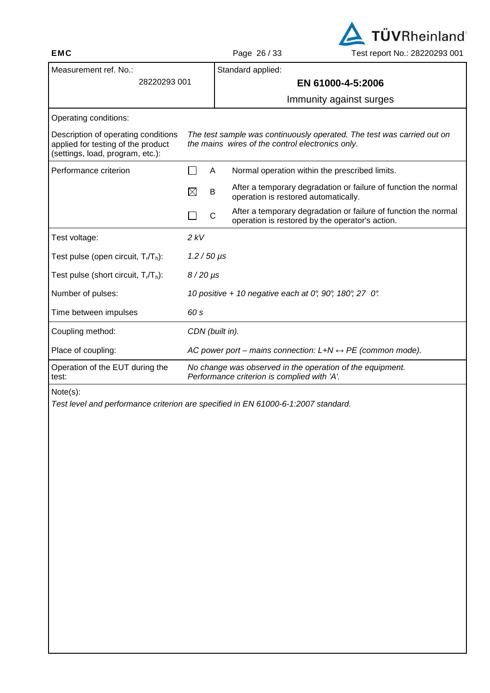

| Measurement ref. No.:                                                                                         |                                                                                                                            | Standard applied:                                                                                                  |  |  |  |
|---------------------------------------------------------------------------------------------------------------|----------------------------------------------------------------------------------------------------------------------------|--------------------------------------------------------------------------------------------------------------------|--|--|--|
| 28220293 001                                                                                                  |                                                                                                                            | EN 61000-4-5:2006                                                                                                  |  |  |  |
|                                                                                                               |                                                                                                                            | Immunity against surges                                                                                            |  |  |  |
| Operating conditions:                                                                                         |                                                                                                                            |                                                                                                                    |  |  |  |
| Description of operating conditions<br>applied for testing of the product<br>(settings, load, program, etc.): | The test sample was continuously operated. The test was carried out on<br>the mains wires of the control electronics only. |                                                                                                                    |  |  |  |
| Performance criterion                                                                                         | A                                                                                                                          | Normal operation within the prescribed limits.                                                                     |  |  |  |
|                                                                                                               | ⊠<br>B                                                                                                                     | After a temporary degradation or failure of function the normal<br>operation is restored automatically.            |  |  |  |
|                                                                                                               | $\mathsf{C}$                                                                                                               | After a temporary degradation or failure of function the normal<br>operation is restored by the operator's action. |  |  |  |
| Test voltage:                                                                                                 | 2 kV                                                                                                                       |                                                                                                                    |  |  |  |
| Test pulse (open circuit, $T_r/T_h$ ):                                                                        | $1.2 / 50 \,\mu s$                                                                                                         |                                                                                                                    |  |  |  |
| Test pulse (short circuit, $T_r/T_h$ ):                                                                       | $8/20 \,\mu s$                                                                                                             |                                                                                                                    |  |  |  |
| Number of pulses:                                                                                             |                                                                                                                            | 10 positive + 10 negative each at 0°, 90°, 180°, 27 0°.                                                            |  |  |  |
| Time between impulses                                                                                         | 60 s                                                                                                                       |                                                                                                                    |  |  |  |
| Coupling method:                                                                                              | CDN (built in).                                                                                                            |                                                                                                                    |  |  |  |
| Place of coupling:                                                                                            | AC power port – mains connection: $L+N \leftrightarrow PE$ (common mode).                                                  |                                                                                                                    |  |  |  |
| Operation of the EUT during the<br>test:                                                                      | No change was observed in the operation of the equipment.<br>Performance criterion is complied with 'A'.                   |                                                                                                                    |  |  |  |
| $N_{\alpha+\alpha}(\alpha)$                                                                                   |                                                                                                                            |                                                                                                                    |  |  |  |

Test level and performance criterion are specified in EN 61000-6-1:2007 standard.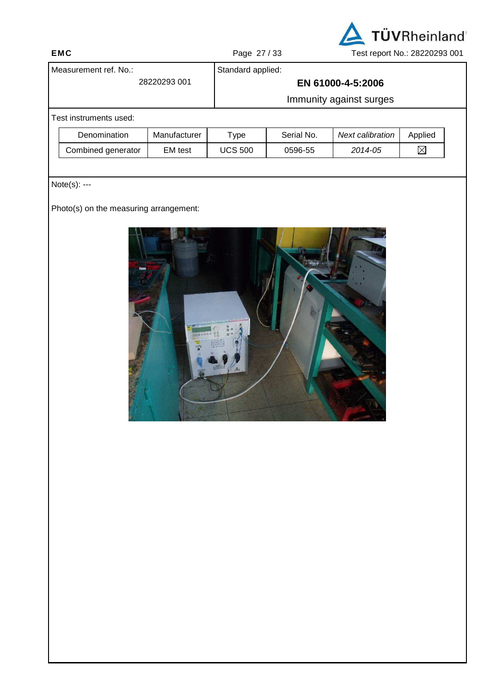

|                       |                                        |                         | $.990$ and $.90$  |            |                   | 180.18801.1181112012010000 |
|-----------------------|----------------------------------------|-------------------------|-------------------|------------|-------------------|----------------------------|
| Measurement ref. No.: |                                        |                         | Standard applied: |            |                   |                            |
|                       |                                        | 28220293 001            |                   |            | EN 61000-4-5:2006 |                            |
|                       |                                        | Immunity against surges |                   |            |                   |                            |
|                       | Test instruments used:                 |                         |                   |            |                   |                            |
|                       | Denomination                           | Manufacturer            | <b>Type</b>       | Serial No. | Next calibration  | Applied                    |
|                       | Combined generator                     | EM test                 | <b>UCS 500</b>    | 0596-55    | 2014-05           | $\boxtimes$                |
|                       |                                        |                         |                   |            |                   |                            |
|                       | Note(s): ---                           |                         |                   |            |                   |                            |
|                       | Photo(s) on the measuring arrangement: |                         |                   |            |                   |                            |
|                       |                                        |                         |                   |            | n a               |                            |

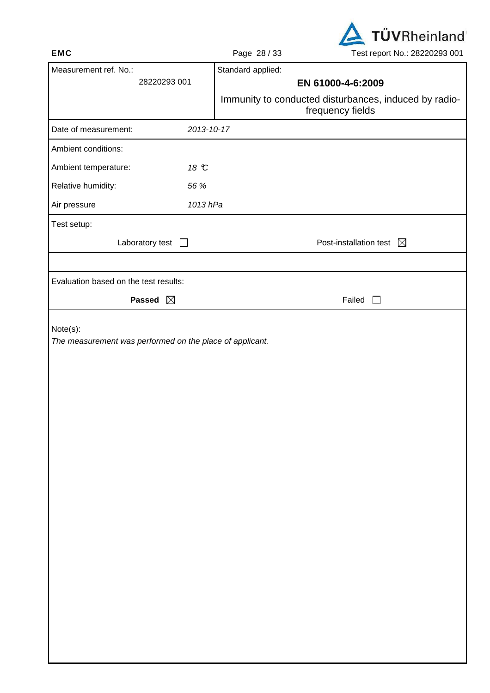

| ᄃᇄᇰ                                                                  |              | Page 20133        | Lest report No Zozzuzgo ud i                                              |
|----------------------------------------------------------------------|--------------|-------------------|---------------------------------------------------------------------------|
| Measurement ref. No.:                                                |              | Standard applied: |                                                                           |
|                                                                      | 28220293 001 |                   | EN 61000-4-6:2009                                                         |
|                                                                      |              |                   | Immunity to conducted disturbances, induced by radio-<br>frequency fields |
| Date of measurement:                                                 | 2013-10-17   |                   |                                                                           |
| Ambient conditions:                                                  |              |                   |                                                                           |
| Ambient temperature:                                                 | 18 °C        |                   |                                                                           |
| Relative humidity:                                                   | 56 %         |                   |                                                                           |
| Air pressure                                                         | 1013 hPa     |                   |                                                                           |
| Test setup:                                                          |              |                   |                                                                           |
| Laboratory test $\Box$                                               |              |                   | Post-installation test $\boxtimes$                                        |
|                                                                      |              |                   |                                                                           |
| Evaluation based on the test results:                                |              |                   |                                                                           |
| Passed $\boxtimes$                                                   |              |                   | Failed $\Box$                                                             |
| Note(s):<br>The measurement was performed on the place of applicant. |              |                   |                                                                           |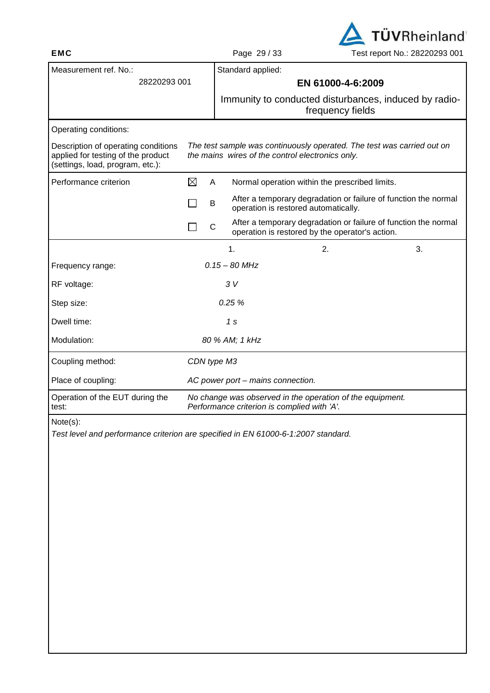

| 'age 29/33 |  |  |
|------------|--|--|
|------------|--|--|

Standard applied:

 28220293 001 **EN 61000-4-6:2009**  Immunity to conducted disturbances, induced by radiofrequency fields Operating conditions: Description of operating conditions applied for testing of the product (settings, load, program, etc.): The test sample was continuously operated. The test was carried out on the mains wires of the control electronics only. Performance criterion  $\boxtimes$  A Normal operation within the prescribed limits.  $\Box$  B After a temporary degradation or failure of function the normal operation is restored automatically.  $\Box$  C After a temporary degradation or failure of function the normal operation is restored by the operator's action.  $1.$  2.  $3.$ Frequency range: 0.15 – 80 MHz RF voltage: 3 V Step size: 0.25 % Dwell time: 1 s Modulation: 80 % AM; 1 kHz Coupling method: CDN type M3 Place of coupling:  $AC power port - mains connection.$ Operation of the EUT during the No change was observed in the operation of the equipment. Performance criterion is complied with 'A'. Note(s): Test level and performance criterion are specified in EN 61000-6-1:2007 standard.

test:

Measurement ref. No.: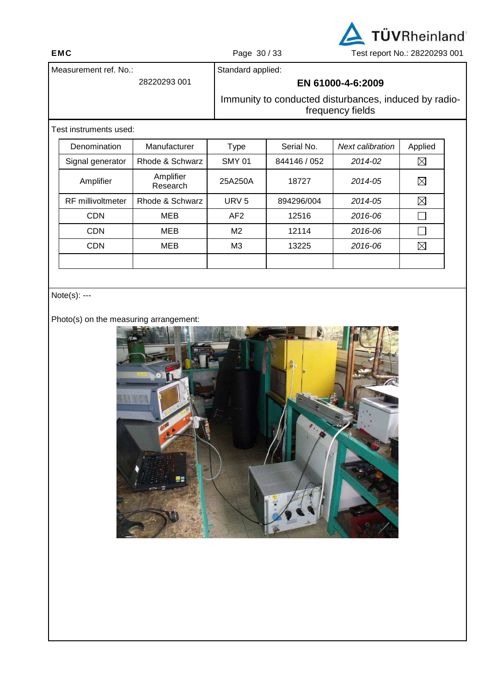

Measurement ref. No.: 28220293 001 Standard applied: **EN 61000-4-6:2009**  Immunity to conducted disturbances, induced by radio-

frequency fields

## Test instruments used:

| Denomination             | Manufacturer          | Type            | Serial No.   | Next calibration | Applied     |
|--------------------------|-----------------------|-----------------|--------------|------------------|-------------|
| Signal generator         | Rhode & Schwarz       | <b>SMY 01</b>   | 844146 / 052 | 2014-02          | $\boxtimes$ |
| Amplifier                | Amplifier<br>Research | 25A250A         | 18727        | 2014-05          | $\boxtimes$ |
| <b>RF</b> millivoltmeter | Rhode & Schwarz       | URV $5$         | 894296/004   | 2014-05          | $\boxtimes$ |
| <b>CDN</b>               | <b>MEB</b>            | AF <sub>2</sub> | 12516        | 2016-06          |             |
| <b>CDN</b>               | MEB                   | M <sub>2</sub>  | 12114        | 2016-06          |             |
| <b>CDN</b>               | <b>MEB</b>            | M <sub>3</sub>  | 13225        | 2016-06          | $\boxtimes$ |
|                          |                       |                 |              |                  |             |

## Note(s): ---

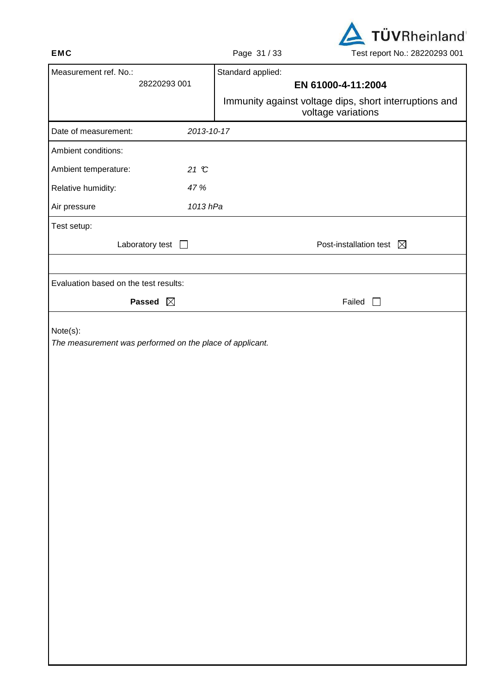

|                                                                      | $1$ ago 01700<br><b>TOOLTOPOILTNO EULLOLOU</b> UUT                           |
|----------------------------------------------------------------------|------------------------------------------------------------------------------|
| Measurement ref. No.:                                                | Standard applied:                                                            |
| 28220293 001                                                         | EN 61000-4-11:2004                                                           |
|                                                                      | Immunity against voltage dips, short interruptions and<br>voltage variations |
| 2013-10-17<br>Date of measurement:                                   |                                                                              |
| Ambient conditions:                                                  |                                                                              |
| Ambient temperature:<br>21 °C                                        |                                                                              |
| Relative humidity:<br>47 %                                           |                                                                              |
| Air pressure<br>1013 hPa                                             |                                                                              |
| Test setup:                                                          |                                                                              |
| Laboratory test $\Box$                                               | Post-installation test $\boxtimes$                                           |
|                                                                      |                                                                              |
| Evaluation based on the test results:                                |                                                                              |
| Passed $\boxtimes$                                                   | Failed<br>$\perp$                                                            |
| Note(s):<br>The measurement was performed on the place of applicant. |                                                                              |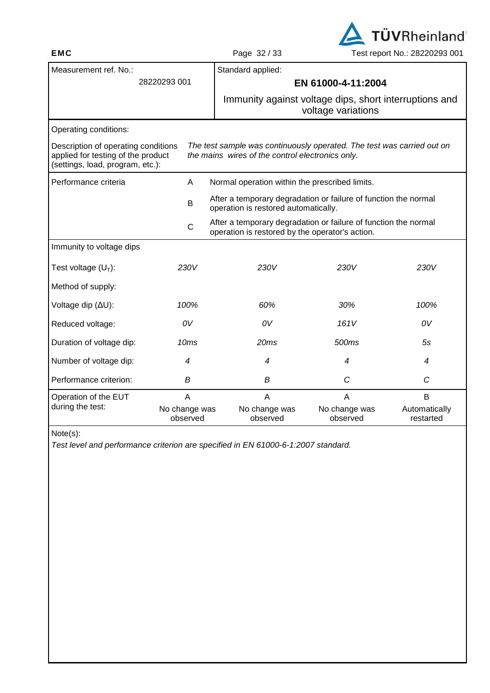

| Measurement ref. No.:                                                                                                                                                                                                                       |                           | Standard applied:                                                                                                  |                           |                            |  |
|---------------------------------------------------------------------------------------------------------------------------------------------------------------------------------------------------------------------------------------------|---------------------------|--------------------------------------------------------------------------------------------------------------------|---------------------------|----------------------------|--|
|                                                                                                                                                                                                                                             | 28220293 001              | EN 61000-4-11:2004                                                                                                 |                           |                            |  |
|                                                                                                                                                                                                                                             |                           | Immunity against voltage dips, short interruptions and                                                             | voltage variations        |                            |  |
| Operating conditions:                                                                                                                                                                                                                       |                           |                                                                                                                    |                           |                            |  |
| Description of operating conditions<br>The test sample was continuously operated. The test was carried out on<br>applied for testing of the product<br>the mains wires of the control electronics only.<br>(settings, load, program, etc.): |                           |                                                                                                                    |                           |                            |  |
| Performance criteria                                                                                                                                                                                                                        | Α                         | Normal operation within the prescribed limits.                                                                     |                           |                            |  |
|                                                                                                                                                                                                                                             | B                         | After a temporary degradation or failure of function the normal<br>operation is restored automatically.            |                           |                            |  |
|                                                                                                                                                                                                                                             | $\mathsf{C}$              | After a temporary degradation or failure of function the normal<br>operation is restored by the operator's action. |                           |                            |  |
| Immunity to voltage dips                                                                                                                                                                                                                    |                           |                                                                                                                    |                           |                            |  |
| Test voltage $(U_T)$ :                                                                                                                                                                                                                      | 230V                      | 230V                                                                                                               | 230V                      | 230V                       |  |
| Method of supply:                                                                                                                                                                                                                           |                           |                                                                                                                    |                           |                            |  |
| Voltage dip (ΔU):                                                                                                                                                                                                                           | 100%                      | 60%                                                                                                                | 30%                       | 100%                       |  |
| Reduced voltage:                                                                                                                                                                                                                            | 0V                        | 0V                                                                                                                 | 161V                      | 0V                         |  |
| Duration of voltage dip:                                                                                                                                                                                                                    | 10 <sub>ms</sub>          | 20ms                                                                                                               | 500ms                     | 5s                         |  |
| Number of voltage dip:                                                                                                                                                                                                                      | 4                         | 4                                                                                                                  | 4                         | $\overline{4}$             |  |
| Performance criterion:                                                                                                                                                                                                                      | В                         | B                                                                                                                  | C                         | C                          |  |
| Operation of the EUT                                                                                                                                                                                                                        | A                         | A                                                                                                                  | A                         | B                          |  |
| during the test:                                                                                                                                                                                                                            | No change was<br>observed | No change was<br>observed                                                                                          | No change was<br>observed | Automatically<br>restarted |  |

Test level and performance criterion are specified in EN 61000-6-1:2007 standard.